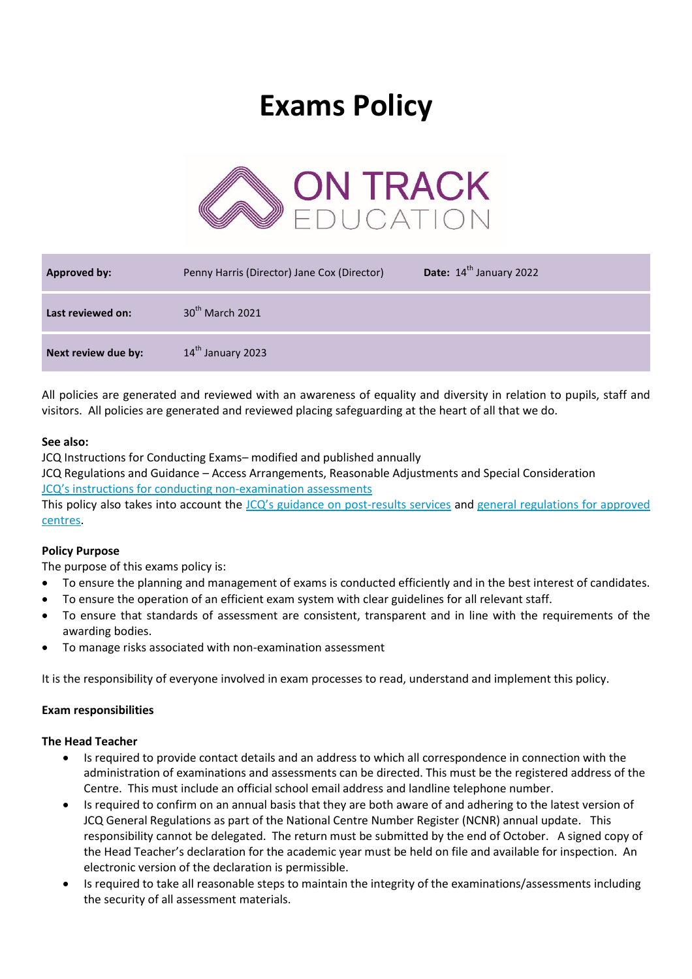# **Exams Policy**



| <b>Approved by:</b> | Penny Harris (Director) Jane Cox (Director) | Date: 14 <sup>th</sup> January 2022 |
|---------------------|---------------------------------------------|-------------------------------------|
| Last reviewed on:   | 30 <sup>th</sup> March 2021                 |                                     |
| Next review due by: | 14th January 2023                           |                                     |

All policies are generated and reviewed with an awareness of equality and diversity in relation to pupils, staff and visitors. All policies are generated and reviewed placing safeguarding at the heart of all that we do.

## **See also:**

JCQ Instructions for Conducting Exams– modified and published annually

JCQ Regulations and Guidance – Access Arrangements, Reasonable Adjustments and Special Consideration JCQ's instructions for condu[cting non-examination assessments](http://www.jcq.org.uk/exams-office/non-examination-assessments/in)

This policy also takes into account the [JCQ's guidance on post](http://www.jcq.org.uk/exams-office/post-results-services)-results services and general regulations for approved [centres.](https://www.jcq.org.uk/exams-office/general-regulations)

# **Policy Purpose**

The purpose of this exams policy is:

- To ensure the planning and management of exams is conducted efficiently and in the best interest of candidates.
- To ensure the operation of an efficient exam system with clear guidelines for all relevant staff.
- To ensure that standards of assessment are consistent, transparent and in line with the requirements of the awarding bodies.
- To manage risks associated with non-examination assessment

It is the responsibility of everyone involved in exam processes to read, understand and implement this policy.

## **Exam responsibilities**

## **The Head Teacher**

- Is required to provide contact details and an address to which all correspondence in connection with the administration of examinations and assessments can be directed. This must be the registered address of the Centre. This must include an official school email address and landline telephone number.
- Is required to confirm on an annual basis that they are both aware of and adhering to the latest version of JCQ General Regulations as part of the National Centre Number Register (NCNR) annual update. This responsibility cannot be delegated. The return must be submitted by the end of October. A signed copy of the Head Teacher's declaration for the academic year must be held on file and available for inspection. An electronic version of the declaration is permissible.
- Is required to take all reasonable steps to maintain the integrity of the examinations/assessments including the security of all assessment materials.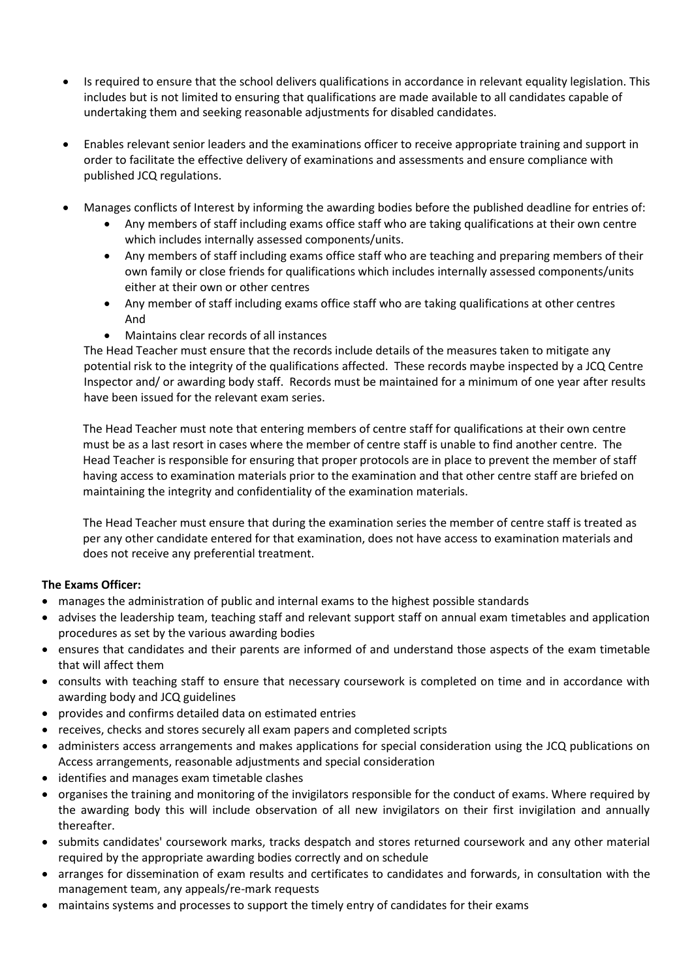- Is required to ensure that the school delivers qualifications in accordance in relevant equality legislation. This includes but is not limited to ensuring that qualifications are made available to all candidates capable of undertaking them and seeking reasonable adjustments for disabled candidates.
- Enables relevant senior leaders and the examinations officer to receive appropriate training and support in order to facilitate the effective delivery of examinations and assessments and ensure compliance with published JCQ regulations.
- Manages conflicts of Interest by informing the awarding bodies before the published deadline for entries of:
	- Any members of staff including exams office staff who are taking qualifications at their own centre which includes internally assessed components/units.
	- Any members of staff including exams office staff who are teaching and preparing members of their own family or close friends for qualifications which includes internally assessed components/units either at their own or other centres
	- Any member of staff including exams office staff who are taking qualifications at other centres And
	- Maintains clear records of all instances

The Head Teacher must ensure that the records include details of the measures taken to mitigate any potential risk to the integrity of the qualifications affected. These records maybe inspected by a JCQ Centre Inspector and/ or awarding body staff. Records must be maintained for a minimum of one year after results have been issued for the relevant exam series.

The Head Teacher must note that entering members of centre staff for qualifications at their own centre must be as a last resort in cases where the member of centre staff is unable to find another centre. The Head Teacher is responsible for ensuring that proper protocols are in place to prevent the member of staff having access to examination materials prior to the examination and that other centre staff are briefed on maintaining the integrity and confidentiality of the examination materials.

The Head Teacher must ensure that during the examination series the member of centre staff is treated as per any other candidate entered for that examination, does not have access to examination materials and does not receive any preferential treatment.

# **The Exams Officer:**

- manages the administration of public and internal exams to the highest possible standards
- advises the leadership team, teaching staff and relevant support staff on annual exam timetables and application procedures as set by the various awarding bodies
- ensures that candidates and their parents are informed of and understand those aspects of the exam timetable that will affect them
- consults with teaching staff to ensure that necessary coursework is completed on time and in accordance with awarding body and JCQ guidelines
- provides and confirms detailed data on estimated entries
- receives, checks and stores securely all exam papers and completed scripts
- administers access arrangements and makes applications for special consideration using the JCQ publications on Access arrangements, reasonable adjustments and special consideration
- identifies and manages exam timetable clashes
- organises the training and monitoring of the invigilators responsible for the conduct of exams. Where required by the awarding body this will include observation of all new invigilators on their first invigilation and annually thereafter.
- submits candidates' coursework marks, tracks despatch and stores returned coursework and any other material required by the appropriate awarding bodies correctly and on schedule
- arranges for dissemination of exam results and certificates to candidates and forwards, in consultation with the management team, any appeals/re-mark requests
- maintains systems and processes to support the timely entry of candidates for their exams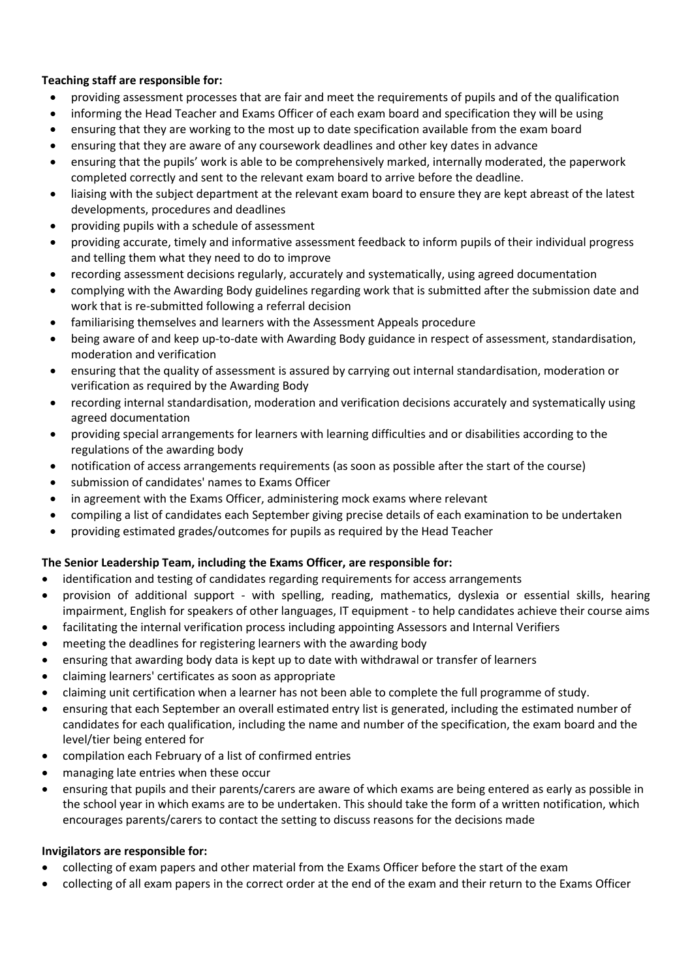# **Teaching staff are responsible for:**

- providing assessment processes that are fair and meet the requirements of pupils and of the qualification
- informing the Head Teacher and Exams Officer of each exam board and specification they will be using
- ensuring that they are working to the most up to date specification available from the exam board
- ensuring that they are aware of any coursework deadlines and other key dates in advance
- ensuring that the pupils' work is able to be comprehensively marked, internally moderated, the paperwork completed correctly and sent to the relevant exam board to arrive before the deadline.
- liaising with the subject department at the relevant exam board to ensure they are kept abreast of the latest developments, procedures and deadlines
- providing pupils with a schedule of assessment
- providing accurate, timely and informative assessment feedback to inform pupils of their individual progress and telling them what they need to do to improve
- recording assessment decisions regularly, accurately and systematically, using agreed documentation
- complying with the Awarding Body guidelines regarding work that is submitted after the submission date and work that is re-submitted following a referral decision
- familiarising themselves and learners with the Assessment Appeals procedure
- being aware of and keep up-to-date with Awarding Body guidance in respect of assessment, standardisation, moderation and verification
- ensuring that the quality of assessment is assured by carrying out internal standardisation, moderation or verification as required by the Awarding Body
- recording internal standardisation, moderation and verification decisions accurately and systematically using agreed documentation
- providing special arrangements for learners with learning difficulties and or disabilities according to the regulations of the awarding body
- notification of access arrangements requirements (as soon as possible after the start of the course)
- submission of candidates' names to Exams Officer
- in agreement with the Exams Officer, administering mock exams where relevant
- compiling a list of candidates each September giving precise details of each examination to be undertaken
- providing estimated grades/outcomes for pupils as required by the Head Teacher

# **The Senior Leadership Team, including the Exams Officer, are responsible for:**

- identification and testing of candidates regarding requirements for access arrangements
- provision of additional support with spelling, reading, mathematics, dyslexia or essential skills, hearing impairment, English for speakers of other languages, IT equipment - to help candidates achieve their course aims
- facilitating the internal verification process including appointing Assessors and Internal Verifiers
- meeting the deadlines for registering learners with the awarding body
- ensuring that awarding body data is kept up to date with withdrawal or transfer of learners
- claiming learners' certificates as soon as appropriate
- claiming unit certification when a learner has not been able to complete the full programme of study.
- ensuring that each September an overall estimated entry list is generated, including the estimated number of candidates for each qualification, including the name and number of the specification, the exam board and the level/tier being entered for
- compilation each February of a list of confirmed entries
- managing late entries when these occur
- ensuring that pupils and their parents/carers are aware of which exams are being entered as early as possible in the school year in which exams are to be undertaken. This should take the form of a written notification, which encourages parents/carers to contact the setting to discuss reasons for the decisions made

# **Invigilators are responsible for:**

- collecting of exam papers and other material from the Exams Officer before the start of the exam
- collecting of all exam papers in the correct order at the end of the exam and their return to the Exams Officer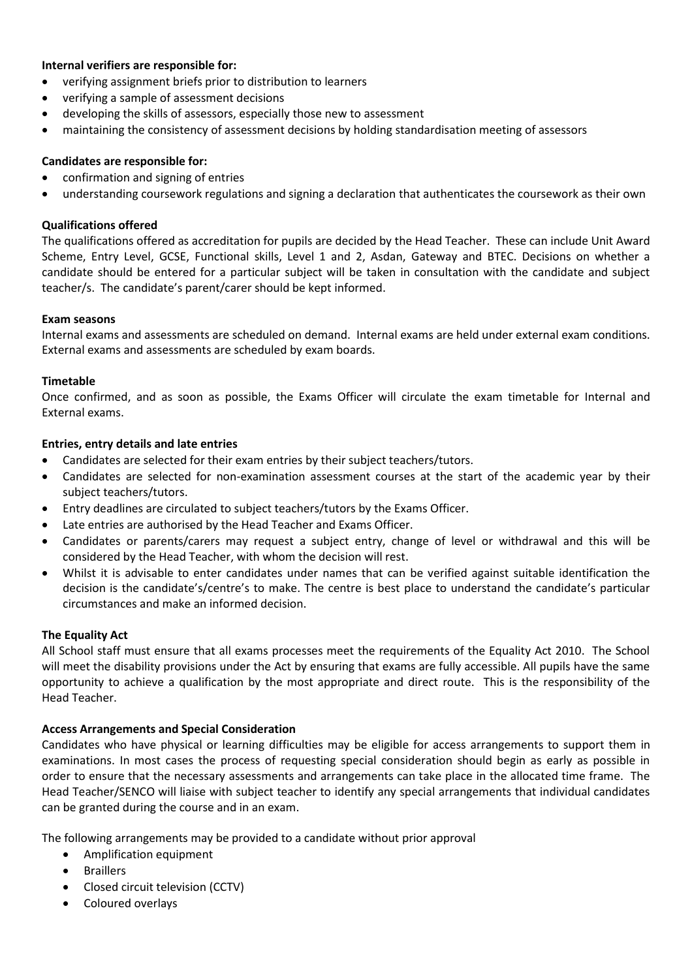## **Internal verifiers are responsible for:**

- verifying assignment briefs prior to distribution to learners
- verifying a sample of assessment decisions
- developing the skills of assessors, especially those new to assessment
- maintaining the consistency of assessment decisions by holding standardisation meeting of assessors

## **Candidates are responsible for:**

- confirmation and signing of entries
- understanding coursework regulations and signing a declaration that authenticates the coursework as their own

## **Qualifications offered**

The qualifications offered as accreditation for pupils are decided by the Head Teacher. These can include Unit Award Scheme, Entry Level, GCSE, Functional skills, Level 1 and 2, Asdan, Gateway and BTEC. Decisions on whether a candidate should be entered for a particular subject will be taken in consultation with the candidate and subject teacher/s. The candidate's parent/carer should be kept informed.

## **Exam seasons**

Internal exams and assessments are scheduled on demand. Internal exams are held under external exam conditions. External exams and assessments are scheduled by exam boards.

## **Timetable**

Once confirmed, and as soon as possible, the Exams Officer will circulate the exam timetable for Internal and External exams.

## **Entries, entry details and late entries**

- Candidates are selected for their exam entries by their subject teachers/tutors.
- Candidates are selected for non-examination assessment courses at the start of the academic year by their subject teachers/tutors.
- Entry deadlines are circulated to subject teachers/tutors by the Exams Officer.
- Late entries are authorised by the Head Teacher and Exams Officer.
- Candidates or parents/carers may request a subject entry, change of level or withdrawal and this will be considered by the Head Teacher, with whom the decision will rest.
- Whilst it is advisable to enter candidates under names that can be verified against suitable identification the decision is the candidate's/centre's to make. The centre is best place to understand the candidate's particular circumstances and make an informed decision.

## **The Equality Act**

All School staff must ensure that all exams processes meet the requirements of the Equality Act 2010. The School will meet the disability provisions under the Act by ensuring that exams are fully accessible. All pupils have the same opportunity to achieve a qualification by the most appropriate and direct route. This is the responsibility of the Head Teacher.

## **Access Arrangements and Special Consideration**

Candidates who have physical or learning difficulties may be eligible for access arrangements to support them in examinations. In most cases the process of requesting special consideration should begin as early as possible in order to ensure that the necessary assessments and arrangements can take place in the allocated time frame. The Head Teacher/SENCO will liaise with subject teacher to identify any special arrangements that individual candidates can be granted during the course and in an exam.

The following arrangements may be provided to a candidate without prior approval

- Amplification equipment
- **•** Braillers
- Closed circuit television (CCTV)
- Coloured overlays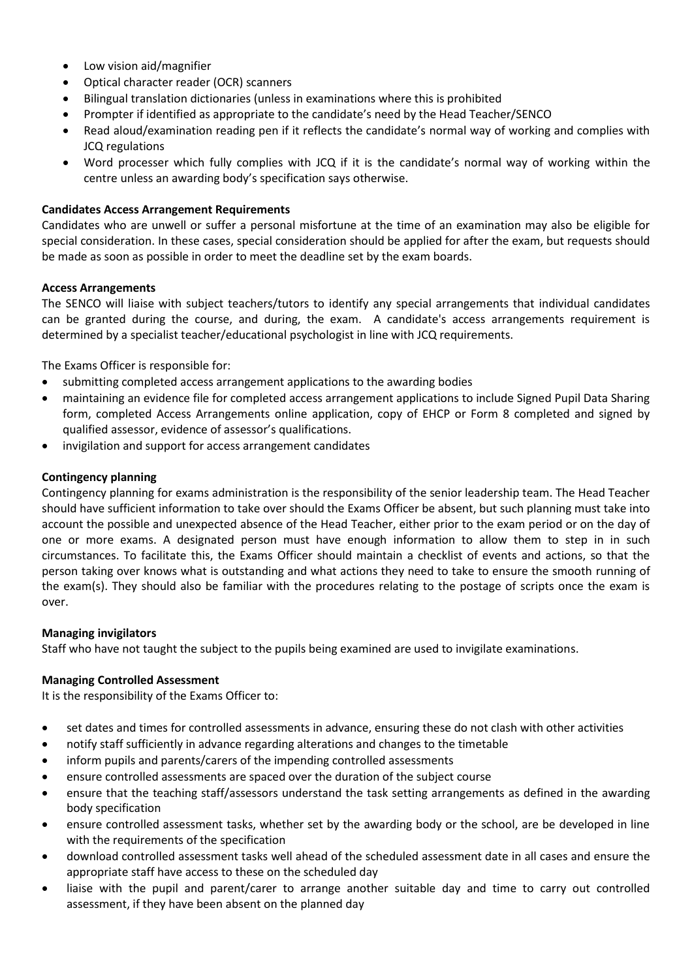- Low vision aid/magnifier
- Optical character reader (OCR) scanners
- Bilingual translation dictionaries (unless in examinations where this is prohibited
- Prompter if identified as appropriate to the candidate's need by the Head Teacher/SENCO
- Read aloud/examination reading pen if it reflects the candidate's normal way of working and complies with JCQ regulations
- Word processer which fully complies with JCQ if it is the candidate's normal way of working within the centre unless an awarding body's specification says otherwise.

#### **Candidates Access Arrangement Requirements**

Candidates who are unwell or suffer a personal misfortune at the time of an examination may also be eligible for special consideration. In these cases, special consideration should be applied for after the exam, but requests should be made as soon as possible in order to meet the deadline set by the exam boards.

#### **Access Arrangements**

The SENCO will liaise with subject teachers/tutors to identify any special arrangements that individual candidates can be granted during the course, and during, the exam. A candidate's access arrangements requirement is determined by a specialist teacher/educational psychologist in line with JCQ requirements.

The Exams Officer is responsible for:

- submitting completed access arrangement applications to the awarding bodies
- maintaining an evidence file for completed access arrangement applications to include Signed Pupil Data Sharing form, completed Access Arrangements online application, copy of EHCP or Form 8 completed and signed by qualified assessor, evidence of assessor's qualifications.
- invigilation and support for access arrangement candidates

#### **Contingency planning**

Contingency planning for exams administration is the responsibility of the senior leadership team. The Head Teacher should have sufficient information to take over should the Exams Officer be absent, but such planning must take into account the possible and unexpected absence of the Head Teacher, either prior to the exam period or on the day of one or more exams. A designated person must have enough information to allow them to step in in such circumstances. To facilitate this, the Exams Officer should maintain a checklist of events and actions, so that the person taking over knows what is outstanding and what actions they need to take to ensure the smooth running of the exam(s). They should also be familiar with the procedures relating to the postage of scripts once the exam is over.

#### **Managing invigilators**

Staff who have not taught the subject to the pupils being examined are used to invigilate examinations.

#### **Managing Controlled Assessment**

It is the responsibility of the Exams Officer to:

- set dates and times for controlled assessments in advance, ensuring these do not clash with other activities
- notify staff sufficiently in advance regarding alterations and changes to the timetable
- inform pupils and parents/carers of the impending controlled assessments
- ensure controlled assessments are spaced over the duration of the subject course
- ensure that the teaching staff/assessors understand the task setting arrangements as defined in the awarding body specification
- ensure controlled assessment tasks, whether set by the awarding body or the school, are be developed in line with the requirements of the specification
- download controlled assessment tasks well ahead of the scheduled assessment date in all cases and ensure the appropriate staff have access to these on the scheduled day
- liaise with the pupil and parent/carer to arrange another suitable day and time to carry out controlled assessment, if they have been absent on the planned day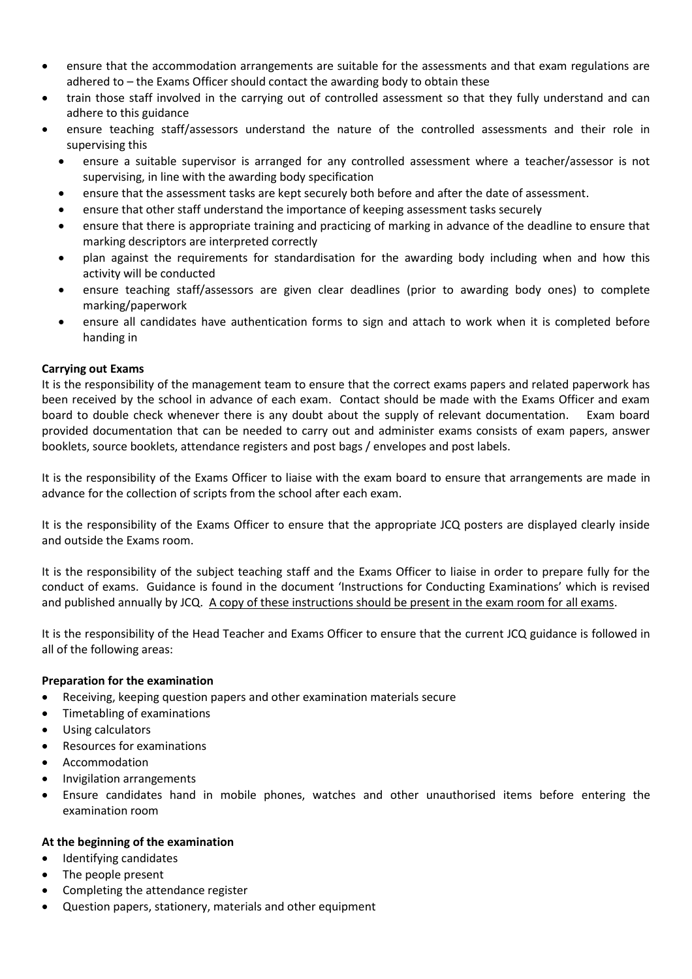- ensure that the accommodation arrangements are suitable for the assessments and that exam regulations are adhered to – the Exams Officer should contact the awarding body to obtain these
- train those staff involved in the carrying out of controlled assessment so that they fully understand and can adhere to this guidance
- ensure teaching staff/assessors understand the nature of the controlled assessments and their role in supervising this
	- ensure a suitable supervisor is arranged for any controlled assessment where a teacher/assessor is not supervising, in line with the awarding body specification
	- ensure that the assessment tasks are kept securely both before and after the date of assessment.
	- ensure that other staff understand the importance of keeping assessment tasks securely
	- ensure that there is appropriate training and practicing of marking in advance of the deadline to ensure that marking descriptors are interpreted correctly
	- plan against the requirements for standardisation for the awarding body including when and how this activity will be conducted
	- ensure teaching staff/assessors are given clear deadlines (prior to awarding body ones) to complete marking/paperwork
	- ensure all candidates have authentication forms to sign and attach to work when it is completed before handing in

## **Carrying out Exams**

It is the responsibility of the management team to ensure that the correct exams papers and related paperwork has been received by the school in advance of each exam. Contact should be made with the Exams Officer and exam board to double check whenever there is any doubt about the supply of relevant documentation. Exam board provided documentation that can be needed to carry out and administer exams consists of exam papers, answer booklets, source booklets, attendance registers and post bags / envelopes and post labels.

It is the responsibility of the Exams Officer to liaise with the exam board to ensure that arrangements are made in advance for the collection of scripts from the school after each exam.

It is the responsibility of the Exams Officer to ensure that the appropriate JCQ posters are displayed clearly inside and outside the Exams room.

It is the responsibility of the subject teaching staff and the Exams Officer to liaise in order to prepare fully for the conduct of exams. Guidance is found in the document 'Instructions for Conducting Examinations' which is revised and published annually by JCQ. A copy of these instructions should be present in the exam room for all exams.

It is the responsibility of the Head Teacher and Exams Officer to ensure that the current JCQ guidance is followed in all of the following areas:

## **Preparation for the examination**

- Receiving, keeping question papers and other examination materials secure
- Timetabling of examinations
- Using calculators
- Resources for examinations
- Accommodation
- Invigilation arrangements
- Ensure candidates hand in mobile phones, watches and other unauthorised items before entering the examination room

## **At the beginning of the examination**

- Identifying candidates
- The people present
- Completing the attendance register
- Question papers, stationery, materials and other equipment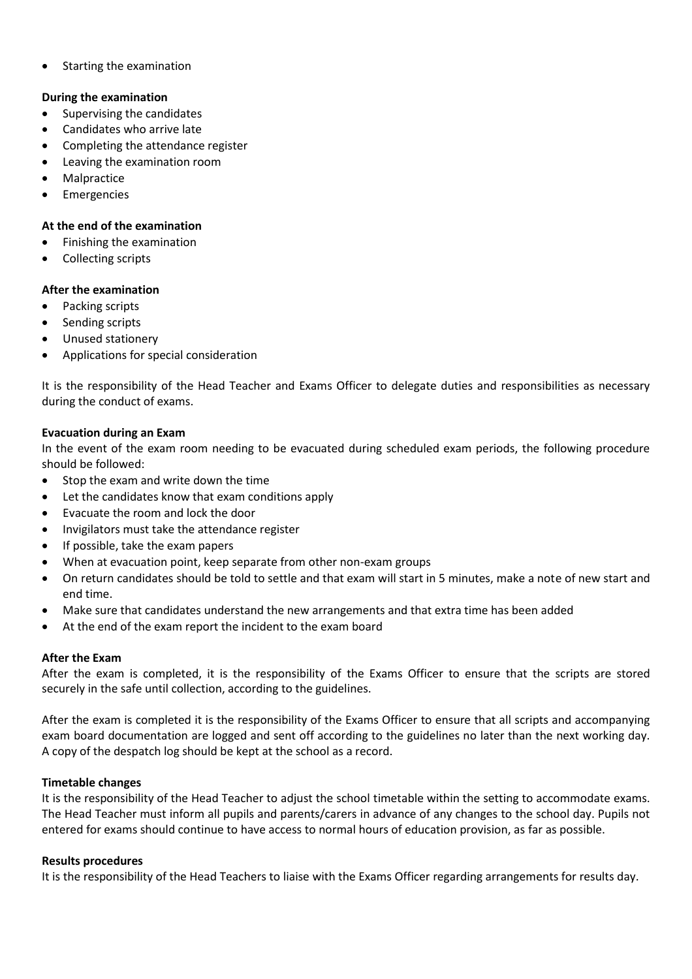• Starting the examination

## **During the examination**

- Supervising the candidates
- Candidates who arrive late
- Completing the attendance register
- Leaving the examination room
- Malpractice
- Emergencies

## **At the end of the examination**

- Finishing the examination
- Collecting scripts

## **After the examination**

- Packing scripts
- Sending scripts
- Unused stationery
- Applications for special consideration

It is the responsibility of the Head Teacher and Exams Officer to delegate duties and responsibilities as necessary during the conduct of exams.

## **Evacuation during an Exam**

In the event of the exam room needing to be evacuated during scheduled exam periods, the following procedure should be followed:

- $\bullet$  Stop the exam and write down the time
- Let the candidates know that exam conditions apply
- Evacuate the room and lock the door
- Invigilators must take the attendance register
- If possible, take the exam papers
- When at evacuation point, keep separate from other non-exam groups
- On return candidates should be told to settle and that exam will start in 5 minutes, make a note of new start and end time.
- Make sure that candidates understand the new arrangements and that extra time has been added
- At the end of the exam report the incident to the exam board

## **After the Exam**

After the exam is completed, it is the responsibility of the Exams Officer to ensure that the scripts are stored securely in the safe until collection, according to the guidelines.

After the exam is completed it is the responsibility of the Exams Officer to ensure that all scripts and accompanying exam board documentation are logged and sent off according to the guidelines no later than the next working day. A copy of the despatch log should be kept at the school as a record.

## **Timetable changes**

It is the responsibility of the Head Teacher to adjust the school timetable within the setting to accommodate exams. The Head Teacher must inform all pupils and parents/carers in advance of any changes to the school day. Pupils not entered for exams should continue to have access to normal hours of education provision, as far as possible.

## **Results procedures**

It is the responsibility of the Head Teachers to liaise with the Exams Officer regarding arrangements for results day.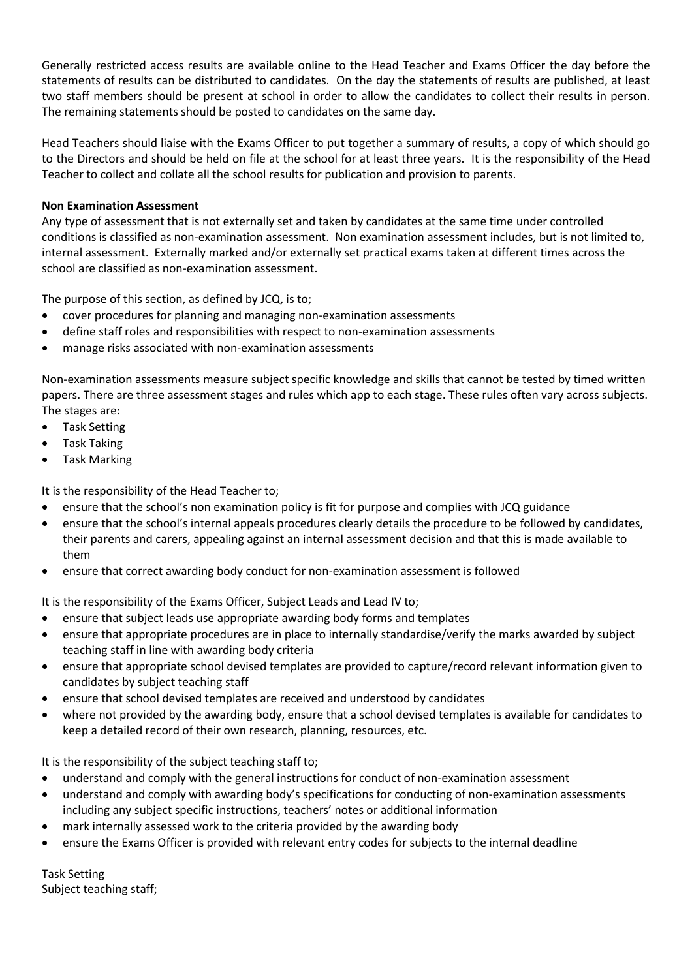Generally restricted access results are available online to the Head Teacher and Exams Officer the day before the statements of results can be distributed to candidates. On the day the statements of results are published, at least two staff members should be present at school in order to allow the candidates to collect their results in person. The remaining statements should be posted to candidates on the same day.

Head Teachers should liaise with the Exams Officer to put together a summary of results, a copy of which should go to the Directors and should be held on file at the school for at least three years. It is the responsibility of the Head Teacher to collect and collate all the school results for publication and provision to parents.

# **Non Examination Assessment**

Any type of assessment that is not externally set and taken by candidates at the same time under controlled conditions is classified as non-examination assessment. Non examination assessment includes, but is not limited to, internal assessment. Externally marked and/or externally set practical exams taken at different times across the school are classified as non-examination assessment.

The purpose of this section, as defined by JCQ, is to;

- cover procedures for planning and managing non-examination assessments
- define staff roles and responsibilities with respect to non-examination assessments
- manage risks associated with non-examination assessments

Non-examination assessments measure subject specific knowledge and skills that cannot be tested by timed written papers. There are three assessment stages and rules which app to each stage. These rules often vary across subjects. The stages are:

- Task Setting
- Task Taking
- Task Marking

**I**t is the responsibility of the Head Teacher to;

- ensure that the school's non examination policy is fit for purpose and complies with JCQ guidance
- ensure that the school's internal appeals procedures clearly details the procedure to be followed by candidates, their parents and carers, appealing against an internal assessment decision and that this is made available to them
- ensure that correct awarding body conduct for non-examination assessment is followed

It is the responsibility of the Exams Officer, Subject Leads and Lead IV to;

- ensure that subject leads use appropriate awarding body forms and templates
- ensure that appropriate procedures are in place to internally standardise/verify the marks awarded by subject teaching staff in line with awarding body criteria
- ensure that appropriate school devised templates are provided to capture/record relevant information given to candidates by subject teaching staff
- ensure that school devised templates are received and understood by candidates
- where not provided by the awarding body, ensure that a school devised templates is available for candidates to keep a detailed record of their own research, planning, resources, etc.

It is the responsibility of the subject teaching staff to;

- understand and comply with the general instructions for conduct of non-examination assessment
- understand and comply with awarding body's specifications for conducting of non-examination assessments including any subject specific instructions, teachers' notes or additional information
- mark internally assessed work to the criteria provided by the awarding body
- ensure the Exams Officer is provided with relevant entry codes for subjects to the internal deadline

Task Setting Subject teaching staff;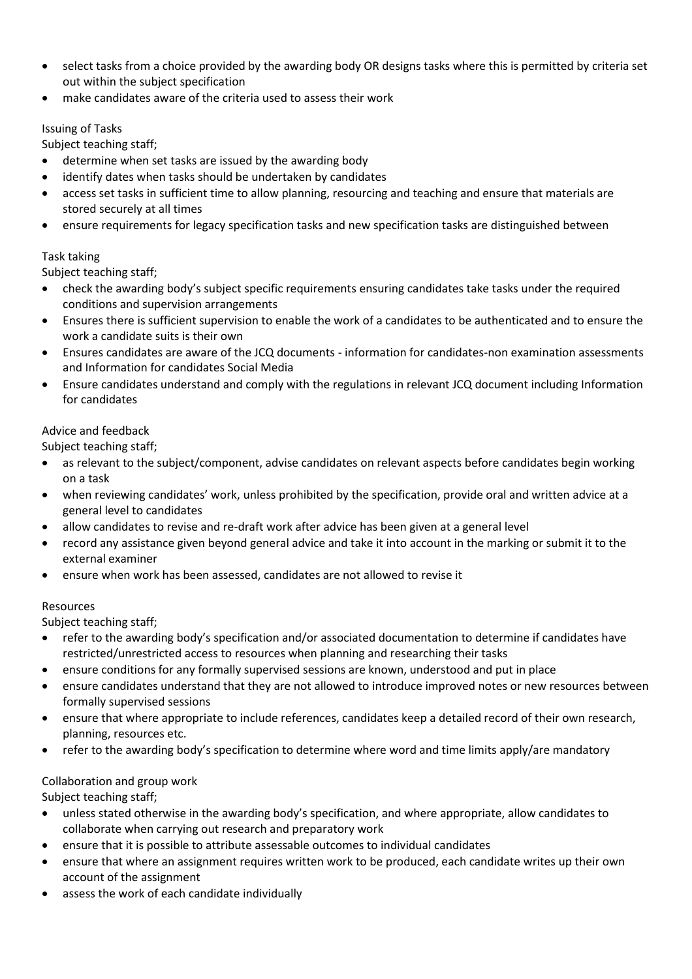- select tasks from a choice provided by the awarding body OR designs tasks where this is permitted by criteria set out within the subject specification
- make candidates aware of the criteria used to assess their work

# Issuing of Tasks

Subject teaching staff;

- determine when set tasks are issued by the awarding body
- identify dates when tasks should be undertaken by candidates
- access set tasks in sufficient time to allow planning, resourcing and teaching and ensure that materials are stored securely at all times
- ensure requirements for legacy specification tasks and new specification tasks are distinguished between

# Task taking

Subject teaching staff;

- check the awarding body's subject specific requirements ensuring candidates take tasks under the required conditions and supervision arrangements
- Ensures there is sufficient supervision to enable the work of a candidates to be authenticated and to ensure the work a candidate suits is their own
- Ensures candidates are aware of the JCQ documents information for candidates-non examination assessments and Information for candidates Social Media
- Ensure candidates understand and comply with the regulations in relevant JCQ document including Information for candidates

# Advice and feedback

Subject teaching staff;

- as relevant to the subject/component, advise candidates on relevant aspects before candidates begin working on a task
- when reviewing candidates' work, unless prohibited by the specification, provide oral and written advice at a general level to candidates
- allow candidates to revise and re-draft work after advice has been given at a general level
- record any assistance given beyond general advice and take it into account in the marking or submit it to the external examiner
- ensure when work has been assessed, candidates are not allowed to revise it

# Resources

Subject teaching staff;

- refer to the awarding body's specification and/or associated documentation to determine if candidates have restricted/unrestricted access to resources when planning and researching their tasks
- ensure conditions for any formally supervised sessions are known, understood and put in place
- ensure candidates understand that they are not allowed to introduce improved notes or new resources between formally supervised sessions
- ensure that where appropriate to include references, candidates keep a detailed record of their own research, planning, resources etc.
- refer to the awarding body's specification to determine where word and time limits apply/are mandatory

# Collaboration and group work

Subject teaching staff;

- unless stated otherwise in the awarding body's specification, and where appropriate, allow candidates to collaborate when carrying out research and preparatory work
- ensure that it is possible to attribute assessable outcomes to individual candidates
- ensure that where an assignment requires written work to be produced, each candidate writes up their own account of the assignment
- assess the work of each candidate individually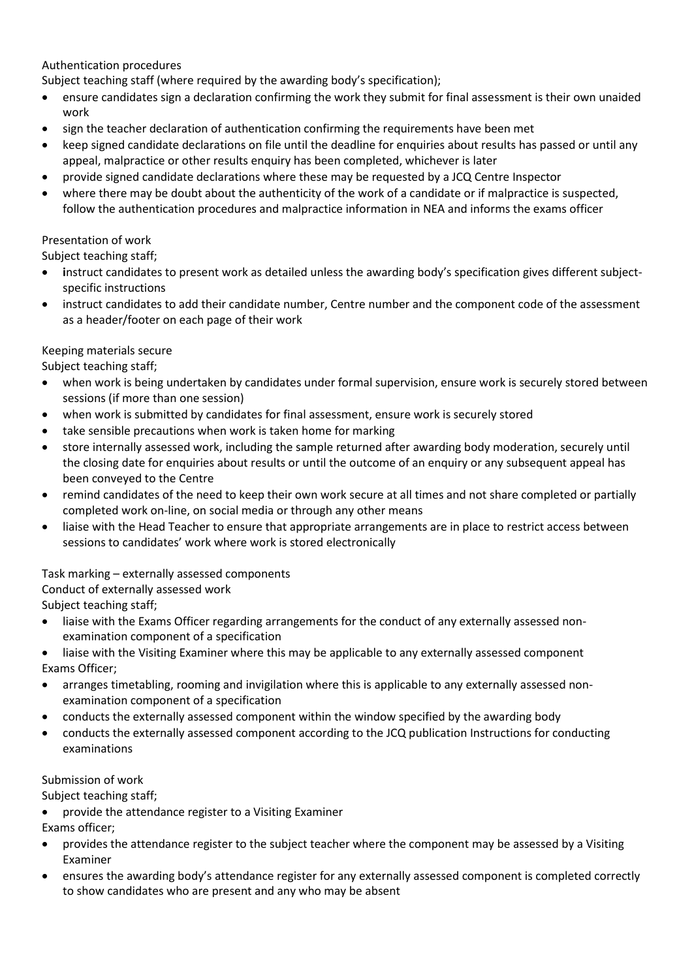# Authentication procedures

Subject teaching staff (where required by the awarding body's specification);

- ensure candidates sign a declaration confirming the work they submit for final assessment is their own unaided work
- sign the teacher declaration of authentication confirming the requirements have been met
- keep signed candidate declarations on file until the deadline for enquiries about results has passed or until any appeal, malpractice or other results enquiry has been completed, whichever is later
- provide signed candidate declarations where these may be requested by a JCQ Centre Inspector
- where there may be doubt about the authenticity of the work of a candidate or if malpractice is suspected, follow the authentication procedures and malpractice information in NEA and informs the exams officer

# Presentation of work

Subject teaching staff;

- **i**nstruct candidates to present work as detailed unless the awarding body's specification gives different subjectspecific instructions
- instruct candidates to add their candidate number, Centre number and the component code of the assessment as a header/footer on each page of their work

# Keeping materials secure

Subject teaching staff;

- when work is being undertaken by candidates under formal supervision, ensure work is securely stored between sessions (if more than one session)
- when work is submitted by candidates for final assessment, ensure work is securely stored
- take sensible precautions when work is taken home for marking
- store internally assessed work, including the sample returned after awarding body moderation, securely until the closing date for enquiries about results or until the outcome of an enquiry or any subsequent appeal has been conveyed to the Centre
- remind candidates of the need to keep their own work secure at all times and not share completed or partially completed work on-line, on social media or through any other means
- liaise with the Head Teacher to ensure that appropriate arrangements are in place to restrict access between sessions to candidates' work where work is stored electronically

Task marking – externally assessed components

Conduct of externally assessed work

Subject teaching staff;

- liaise with the Exams Officer regarding arrangements for the conduct of any externally assessed nonexamination component of a specification
- liaise with the Visiting Examiner where this may be applicable to any externally assessed component Exams Officer;
- arranges timetabling, rooming and invigilation where this is applicable to any externally assessed nonexamination component of a specification
- conducts the externally assessed component within the window specified by the awarding body
- conducts the externally assessed component according to the JCQ publication Instructions for conducting examinations

# Submission of work

Subject teaching staff;

provide the attendance register to a Visiting Examiner

Exams officer;

- provides the attendance register to the subject teacher where the component may be assessed by a Visiting Examiner
- ensures the awarding body's attendance register for any externally assessed component is completed correctly to show candidates who are present and any who may be absent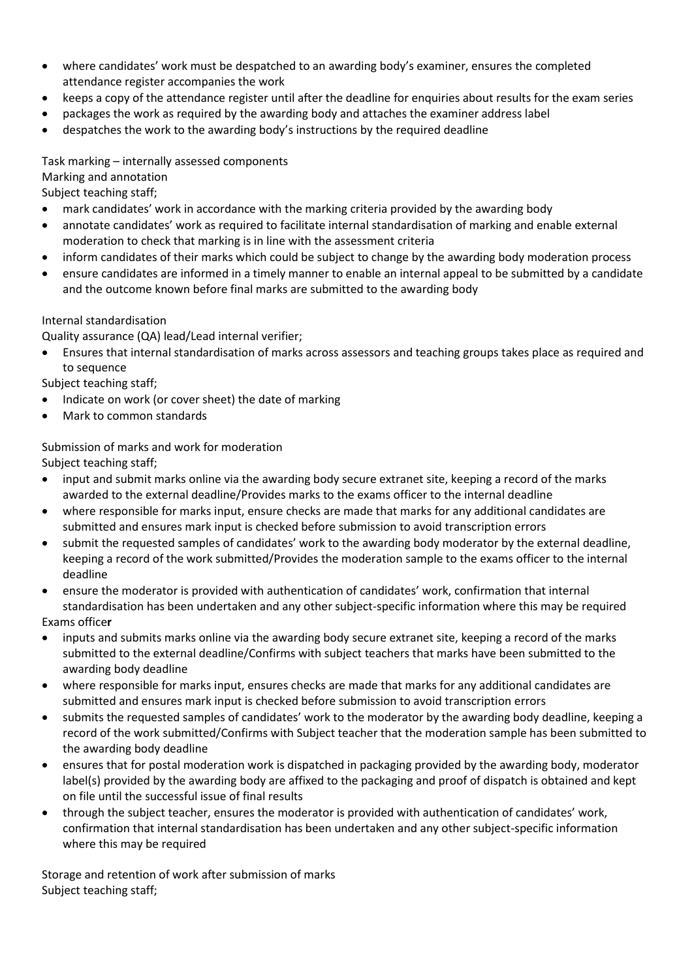- where candidates' work must be despatched to an awarding body's examiner, ensures the completed attendance register accompanies the work
- keeps a copy of the attendance register until after the deadline for enquiries about results for the exam series
- packages the work as required by the awarding body and attaches the examiner address label
- despatches the work to the awarding body's instructions by the required deadline

Task marking – internally assessed components Marking and annotation

Subject teaching staff;

- mark candidates' work in accordance with the marking criteria provided by the awarding body
- annotate candidates' work as required to facilitate internal standardisation of marking and enable external moderation to check that marking is in line with the assessment criteria
- inform candidates of their marks which could be subject to change by the awarding body moderation process
- ensure candidates are informed in a timely manner to enable an internal appeal to be submitted by a candidate and the outcome known before final marks are submitted to the awarding body

# Internal standardisation

Quality assurance (QA) lead/Lead internal verifier;

 Ensures that internal standardisation of marks across assessors and teaching groups takes place as required and to sequence

Subject teaching staff;

- Indicate on work (or cover sheet) the date of marking
- Mark to common standards

Submission of marks and work for moderation

Subject teaching staff;

- input and submit marks online via the awarding body secure extranet site, keeping a record of the marks awarded to the external deadline/Provides marks to the exams officer to the internal deadline
- where responsible for marks input, ensure checks are made that marks for any additional candidates are submitted and ensures mark input is checked before submission to avoid transcription errors
- submit the requested samples of candidates' work to the awarding body moderator by the external deadline, keeping a record of the work submitted/Provides the moderation sample to the exams officer to the internal deadline
- ensure the moderator is provided with authentication of candidates' work, confirmation that internal standardisation has been undertaken and any other subject-specific information where this may be required Exams office**r**
- inputs and submits marks online via the awarding body secure extranet site, keeping a record of the marks submitted to the external deadline/Confirms with subject teachers that marks have been submitted to the awarding body deadline
- where responsible for marks input, ensures checks are made that marks for any additional candidates are submitted and ensures mark input is checked before submission to avoid transcription errors
- submits the requested samples of candidates' work to the moderator by the awarding body deadline, keeping a record of the work submitted/Confirms with Subject teacher that the moderation sample has been submitted to the awarding body deadline
- ensures that for postal moderation work is dispatched in packaging provided by the awarding body, moderator label(s) provided by the awarding body are affixed to the packaging and proof of dispatch is obtained and kept on file until the successful issue of final results
- through the subject teacher, ensures the moderator is provided with authentication of candidates' work, confirmation that internal standardisation has been undertaken and any other subject-specific information where this may be required

Storage and retention of work after submission of marks Subject teaching staff;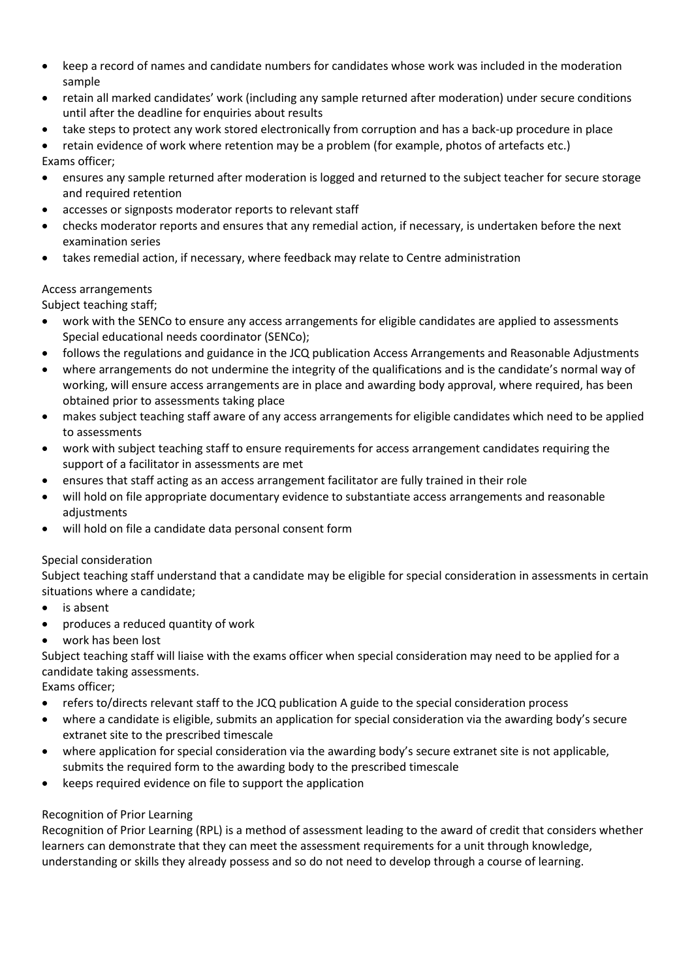- keep a record of names and candidate numbers for candidates whose work was included in the moderation sample
- retain all marked candidates' work (including any sample returned after moderation) under secure conditions until after the deadline for enquiries about results
- take steps to protect any work stored electronically from corruption and has a back-up procedure in place

 retain evidence of work where retention may be a problem (for example, photos of artefacts etc.) Exams officer;

- ensures any sample returned after moderation is logged and returned to the subject teacher for secure storage and required retention
- accesses or signposts moderator reports to relevant staff
- checks moderator reports and ensures that any remedial action, if necessary, is undertaken before the next examination series
- takes remedial action, if necessary, where feedback may relate to Centre administration

# Access arrangements

Subject teaching staff;

- work with the SENCo to ensure any access arrangements for eligible candidates are applied to assessments Special educational needs coordinator (SENCo);
- follows the regulations and guidance in the JCQ publication Access Arrangements and Reasonable Adjustments
- where arrangements do not undermine the integrity of the qualifications and is the candidate's normal way of working, will ensure access arrangements are in place and awarding body approval, where required, has been obtained prior to assessments taking place
- makes subject teaching staff aware of any access arrangements for eligible candidates which need to be applied to assessments
- work with subject teaching staff to ensure requirements for access arrangement candidates requiring the support of a facilitator in assessments are met
- ensures that staff acting as an access arrangement facilitator are fully trained in their role
- will hold on file appropriate documentary evidence to substantiate access arrangements and reasonable adjustments
- will hold on file a candidate data personal consent form

# Special consideration

Subject teaching staff understand that a candidate may be eligible for special consideration in assessments in certain situations where a candidate;

- is absent
- produces a reduced quantity of work
- work has been lost

Subject teaching staff will liaise with the exams officer when special consideration may need to be applied for a candidate taking assessments.

Exams officer;

- refers to/directs relevant staff to the JCQ publication A guide to the special consideration process
- where a candidate is eligible, submits an application for special consideration via the awarding body's secure extranet site to the prescribed timescale
- where application for special consideration via the awarding body's secure extranet site is not applicable, submits the required form to the awarding body to the prescribed timescale
- keeps required evidence on file to support the application

# Recognition of Prior Learning

Recognition of Prior Learning (RPL) is a method of assessment leading to the award of credit that considers whether learners can demonstrate that they can meet the assessment requirements for a unit through knowledge, understanding or skills they already possess and so do not need to develop through a course of learning.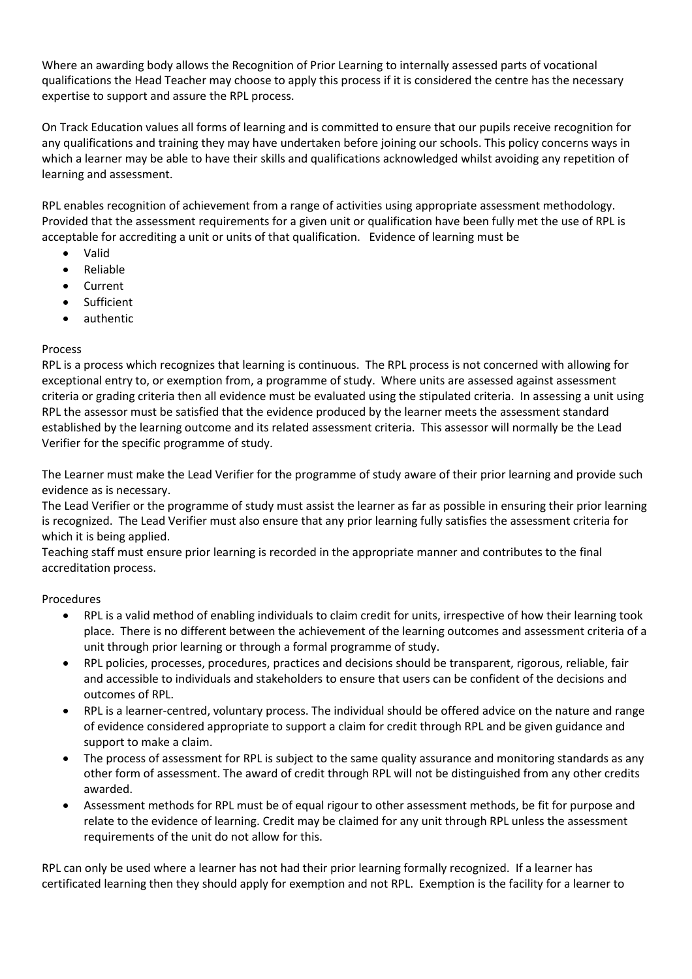Where an awarding body allows the Recognition of Prior Learning to internally assessed parts of vocational qualifications the Head Teacher may choose to apply this process if it is considered the centre has the necessary expertise to support and assure the RPL process.

On Track Education values all forms of learning and is committed to ensure that our pupils receive recognition for any qualifications and training they may have undertaken before joining our schools. This policy concerns ways in which a learner may be able to have their skills and qualifications acknowledged whilst avoiding any repetition of learning and assessment.

RPL enables recognition of achievement from a range of activities using appropriate assessment methodology. Provided that the assessment requirements for a given unit or qualification have been fully met the use of RPL is acceptable for accrediting a unit or units of that qualification. Evidence of learning must be

- Valid
- Reliable
- Current
- **•** Sufficient
- authentic

# Process

RPL is a process which recognizes that learning is continuous. The RPL process is not concerned with allowing for exceptional entry to, or exemption from, a programme of study. Where units are assessed against assessment criteria or grading criteria then all evidence must be evaluated using the stipulated criteria. In assessing a unit using RPL the assessor must be satisfied that the evidence produced by the learner meets the assessment standard established by the learning outcome and its related assessment criteria. This assessor will normally be the Lead Verifier for the specific programme of study.

The Learner must make the Lead Verifier for the programme of study aware of their prior learning and provide such evidence as is necessary.

The Lead Verifier or the programme of study must assist the learner as far as possible in ensuring their prior learning is recognized. The Lead Verifier must also ensure that any prior learning fully satisfies the assessment criteria for which it is being applied.

Teaching staff must ensure prior learning is recorded in the appropriate manner and contributes to the final accreditation process.

# Procedures

- RPL is a valid method of enabling individuals to claim credit for units, irrespective of how their learning took place. There is no different between the achievement of the learning outcomes and assessment criteria of a unit through prior learning or through a formal programme of study.
- RPL policies, processes, procedures, practices and decisions should be transparent, rigorous, reliable, fair and accessible to individuals and stakeholders to ensure that users can be confident of the decisions and outcomes of RPL.
- RPL is a learner-centred, voluntary process. The individual should be offered advice on the nature and range of evidence considered appropriate to support a claim for credit through RPL and be given guidance and support to make a claim.
- The process of assessment for RPL is subject to the same quality assurance and monitoring standards as any other form of assessment. The award of credit through RPL will not be distinguished from any other credits awarded.
- Assessment methods for RPL must be of equal rigour to other assessment methods, be fit for purpose and relate to the evidence of learning. Credit may be claimed for any unit through RPL unless the assessment requirements of the unit do not allow for this.

RPL can only be used where a learner has not had their prior learning formally recognized. If a learner has certificated learning then they should apply for exemption and not RPL. Exemption is the facility for a learner to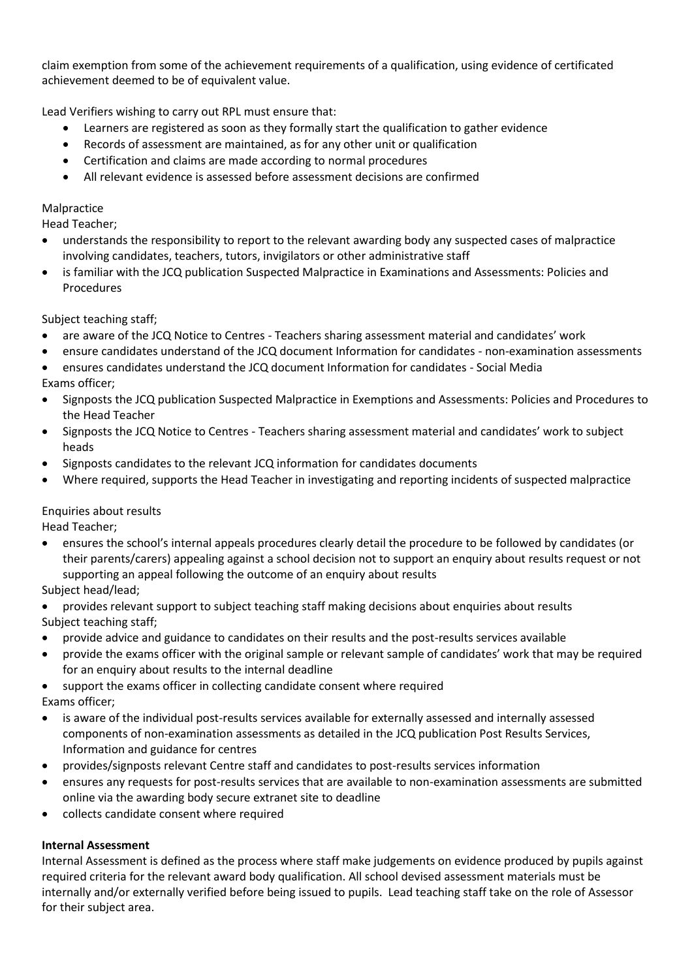claim exemption from some of the achievement requirements of a qualification, using evidence of certificated achievement deemed to be of equivalent value.

Lead Verifiers wishing to carry out RPL must ensure that:

- Learners are registered as soon as they formally start the qualification to gather evidence
- Records of assessment are maintained, as for any other unit or qualification
- Certification and claims are made according to normal procedures
- All relevant evidence is assessed before assessment decisions are confirmed

# Malpractice

Head Teacher;

- understands the responsibility to report to the relevant awarding body any suspected cases of malpractice involving candidates, teachers, tutors, invigilators or other administrative staff
- is familiar with the JCQ publication Suspected Malpractice in Examinations and Assessments: Policies and Procedures

Subject teaching staff;

- are aware of the JCQ Notice to Centres Teachers sharing assessment material and candidates' work
- ensure candidates understand of the JCQ document Information for candidates non-examination assessments
- ensures candidates understand the JCQ document Information for candidates Social Media
- Exams officer;
- Signposts the JCQ publication Suspected Malpractice in Exemptions and Assessments: Policies and Procedures to the Head Teacher
- Signposts the JCQ Notice to Centres Teachers sharing assessment material and candidates' work to subject heads
- Signposts candidates to the relevant JCQ information for candidates documents
- Where required, supports the Head Teacher in investigating and reporting incidents of suspected malpractice

# Enquiries about results

Head Teacher;

- ensures the school's internal appeals procedures clearly detail the procedure to be followed by candidates (or their parents/carers) appealing against a school decision not to support an enquiry about results request or not supporting an appeal following the outcome of an enquiry about results
- Subject head/lead;

 provides relevant support to subject teaching staff making decisions about enquiries about results Subject teaching staff;

- provide advice and guidance to candidates on their results and the post-results services available
- provide the exams officer with the original sample or relevant sample of candidates' work that may be required for an enquiry about results to the internal deadline
- support the exams officer in collecting candidate consent where required Exams officer;
- is aware of the individual post-results services available for externally assessed and internally assessed components of non-examination assessments as detailed in the JCQ publication Post Results Services, Information and guidance for centres
- provides/signposts relevant Centre staff and candidates to post-results services information
- ensures any requests for post-results services that are available to non-examination assessments are submitted online via the awarding body secure extranet site to deadline
- collects candidate consent where required

# **Internal Assessment**

Internal Assessment is defined as the process where staff make judgements on evidence produced by pupils against required criteria for the relevant award body qualification. All school devised assessment materials must be internally and/or externally verified before being issued to pupils. Lead teaching staff take on the role of Assessor for their subject area.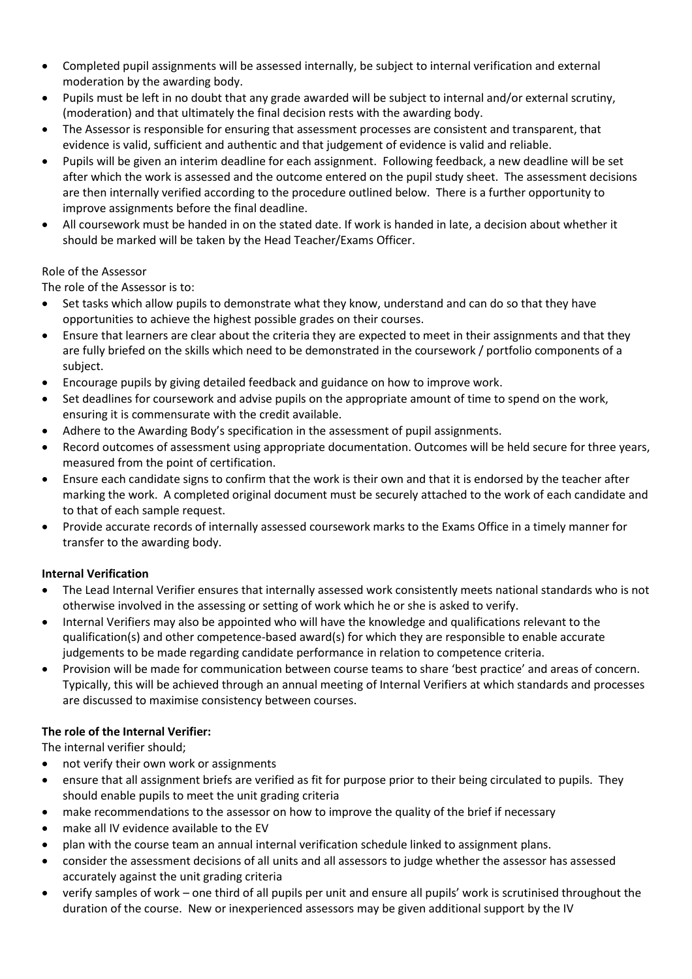- Completed pupil assignments will be assessed internally, be subject to internal verification and external moderation by the awarding body.
- Pupils must be left in no doubt that any grade awarded will be subject to internal and/or external scrutiny, (moderation) and that ultimately the final decision rests with the awarding body.
- The Assessor is responsible for ensuring that assessment processes are consistent and transparent, that evidence is valid, sufficient and authentic and that judgement of evidence is valid and reliable.
- Pupils will be given an interim deadline for each assignment. Following feedback, a new deadline will be set after which the work is assessed and the outcome entered on the pupil study sheet. The assessment decisions are then internally verified according to the procedure outlined below. There is a further opportunity to improve assignments before the final deadline.
- All coursework must be handed in on the stated date. If work is handed in late, a decision about whether it should be marked will be taken by the Head Teacher/Exams Officer.

# Role of the Assessor

The role of the Assessor is to:

- Set tasks which allow pupils to demonstrate what they know, understand and can do so that they have opportunities to achieve the highest possible grades on their courses.
- Ensure that learners are clear about the criteria they are expected to meet in their assignments and that they are fully briefed on the skills which need to be demonstrated in the coursework / portfolio components of a subject.
- Encourage pupils by giving detailed feedback and guidance on how to improve work.
- Set deadlines for coursework and advise pupils on the appropriate amount of time to spend on the work, ensuring it is commensurate with the credit available.
- Adhere to the Awarding Body's specification in the assessment of pupil assignments.
- Record outcomes of assessment using appropriate documentation. Outcomes will be held secure for three years, measured from the point of certification.
- Ensure each candidate signs to confirm that the work is their own and that it is endorsed by the teacher after marking the work. A completed original document must be securely attached to the work of each candidate and to that of each sample request.
- Provide accurate records of internally assessed coursework marks to the Exams Office in a timely manner for transfer to the awarding body.

# **Internal Verification**

- The Lead Internal Verifier ensures that internally assessed work consistently meets national standards who is not otherwise involved in the assessing or setting of work which he or she is asked to verify.
- Internal Verifiers may also be appointed who will have the knowledge and qualifications relevant to the qualification(s) and other competence-based award(s) for which they are responsible to enable accurate judgements to be made regarding candidate performance in relation to competence criteria.
- Provision will be made for communication between course teams to share 'best practice' and areas of concern. Typically, this will be achieved through an annual meeting of Internal Verifiers at which standards and processes are discussed to maximise consistency between courses.

# **The role of the Internal Verifier:**

The internal verifier should;

- not verify their own work or assignments
- ensure that all assignment briefs are verified as fit for purpose prior to their being circulated to pupils. They should enable pupils to meet the unit grading criteria
- make recommendations to the assessor on how to improve the quality of the brief if necessary
- make all IV evidence available to the EV
- plan with the course team an annual internal verification schedule linked to assignment plans.
- consider the assessment decisions of all units and all assessors to judge whether the assessor has assessed accurately against the unit grading criteria
- verify samples of work one third of all pupils per unit and ensure all pupils' work is scrutinised throughout the duration of the course. New or inexperienced assessors may be given additional support by the IV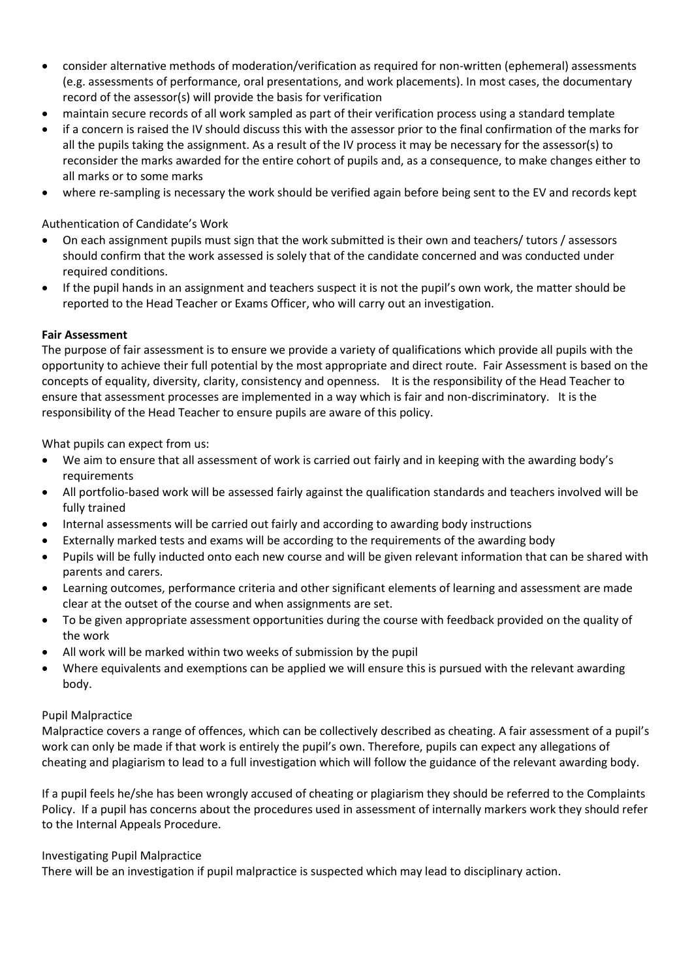- consider alternative methods of moderation/verification as required for non-written (ephemeral) assessments (e.g. assessments of performance, oral presentations, and work placements). In most cases, the documentary record of the assessor(s) will provide the basis for verification
- maintain secure records of all work sampled as part of their verification process using a standard template
- if a concern is raised the IV should discuss this with the assessor prior to the final confirmation of the marks for all the pupils taking the assignment. As a result of the IV process it may be necessary for the assessor(s) to reconsider the marks awarded for the entire cohort of pupils and, as a consequence, to make changes either to all marks or to some marks
- where re-sampling is necessary the work should be verified again before being sent to the EV and records kept

# Authentication of Candidate's Work

- On each assignment pupils must sign that the work submitted is their own and teachers/ tutors / assessors should confirm that the work assessed is solely that of the candidate concerned and was conducted under required conditions.
- If the pupil hands in an assignment and teachers suspect it is not the pupil's own work, the matter should be reported to the Head Teacher or Exams Officer, who will carry out an investigation.

# **Fair Assessment**

The purpose of fair assessment is to ensure we provide a variety of qualifications which provide all pupils with the opportunity to achieve their full potential by the most appropriate and direct route. Fair Assessment is based on the concepts of equality, diversity, clarity, consistency and openness. It is the responsibility of the Head Teacher to ensure that assessment processes are implemented in a way which is fair and non-discriminatory. It is the responsibility of the Head Teacher to ensure pupils are aware of this policy.

What pupils can expect from us:

- We aim to ensure that all assessment of work is carried out fairly and in keeping with the awarding body's requirements
- All portfolio-based work will be assessed fairly against the qualification standards and teachers involved will be fully trained
- Internal assessments will be carried out fairly and according to awarding body instructions
- Externally marked tests and exams will be according to the requirements of the awarding body
- Pupils will be fully inducted onto each new course and will be given relevant information that can be shared with parents and carers.
- Learning outcomes, performance criteria and other significant elements of learning and assessment are made clear at the outset of the course and when assignments are set.
- To be given appropriate assessment opportunities during the course with feedback provided on the quality of the work
- All work will be marked within two weeks of submission by the pupil
- Where equivalents and exemptions can be applied we will ensure this is pursued with the relevant awarding body.

## Pupil Malpractice

Malpractice covers a range of offences, which can be collectively described as cheating. A fair assessment of a pupil's work can only be made if that work is entirely the pupil's own. Therefore, pupils can expect any allegations of cheating and plagiarism to lead to a full investigation which will follow the guidance of the relevant awarding body.

If a pupil feels he/she has been wrongly accused of cheating or plagiarism they should be referred to the Complaints Policy. If a pupil has concerns about the procedures used in assessment of internally markers work they should refer to the Internal Appeals Procedure.

## Investigating Pupil Malpractice

There will be an investigation if pupil malpractice is suspected which may lead to disciplinary action.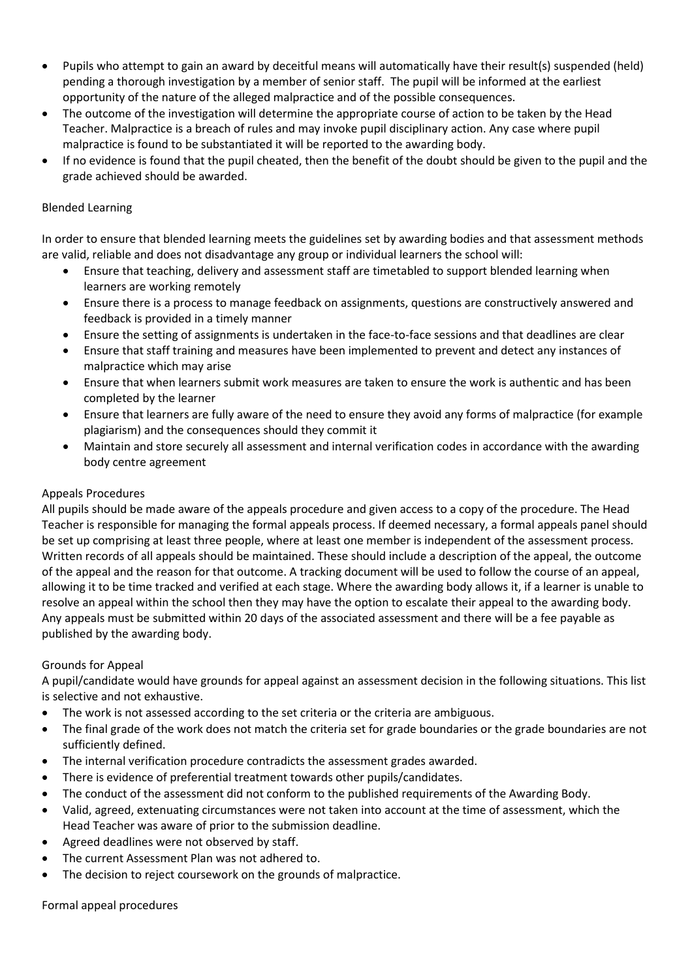- Pupils who attempt to gain an award by deceitful means will automatically have their result(s) suspended (held) pending a thorough investigation by a member of senior staff. The pupil will be informed at the earliest opportunity of the nature of the alleged malpractice and of the possible consequences.
- The outcome of the investigation will determine the appropriate course of action to be taken by the Head Teacher. Malpractice is a breach of rules and may invoke pupil disciplinary action. Any case where pupil malpractice is found to be substantiated it will be reported to the awarding body.
- If no evidence is found that the pupil cheated, then the benefit of the doubt should be given to the pupil and the grade achieved should be awarded.

# Blended Learning

In order to ensure that blended learning meets the guidelines set by awarding bodies and that assessment methods are valid, reliable and does not disadvantage any group or individual learners the school will:

- Ensure that teaching, delivery and assessment staff are timetabled to support blended learning when learners are working remotely
- Ensure there is a process to manage feedback on assignments, questions are constructively answered and feedback is provided in a timely manner
- Ensure the setting of assignments is undertaken in the face-to-face sessions and that deadlines are clear
- Ensure that staff training and measures have been implemented to prevent and detect any instances of malpractice which may arise
- Ensure that when learners submit work measures are taken to ensure the work is authentic and has been completed by the learner
- Ensure that learners are fully aware of the need to ensure they avoid any forms of malpractice (for example plagiarism) and the consequences should they commit it
- Maintain and store securely all assessment and internal verification codes in accordance with the awarding body centre agreement

# Appeals Procedures

All pupils should be made aware of the appeals procedure and given access to a copy of the procedure. The Head Teacher is responsible for managing the formal appeals process. If deemed necessary, a formal appeals panel should be set up comprising at least three people, where at least one member is independent of the assessment process. Written records of all appeals should be maintained. These should include a description of the appeal, the outcome of the appeal and the reason for that outcome. A tracking document will be used to follow the course of an appeal, allowing it to be time tracked and verified at each stage. Where the awarding body allows it, if a learner is unable to resolve an appeal within the school then they may have the option to escalate their appeal to the awarding body. Any appeals must be submitted within 20 days of the associated assessment and there will be a fee payable as published by the awarding body.

# Grounds for Appeal

A pupil/candidate would have grounds for appeal against an assessment decision in the following situations. This list is selective and not exhaustive.

- The work is not assessed according to the set criteria or the criteria are ambiguous.
- The final grade of the work does not match the criteria set for grade boundaries or the grade boundaries are not sufficiently defined.
- The internal verification procedure contradicts the assessment grades awarded.
- There is evidence of preferential treatment towards other pupils/candidates.
- The conduct of the assessment did not conform to the published requirements of the Awarding Body.
- Valid, agreed, extenuating circumstances were not taken into account at the time of assessment, which the Head Teacher was aware of prior to the submission deadline.
- Agreed deadlines were not observed by staff.
- The current Assessment Plan was not adhered to.
- The decision to reject coursework on the grounds of malpractice.

## Formal appeal procedures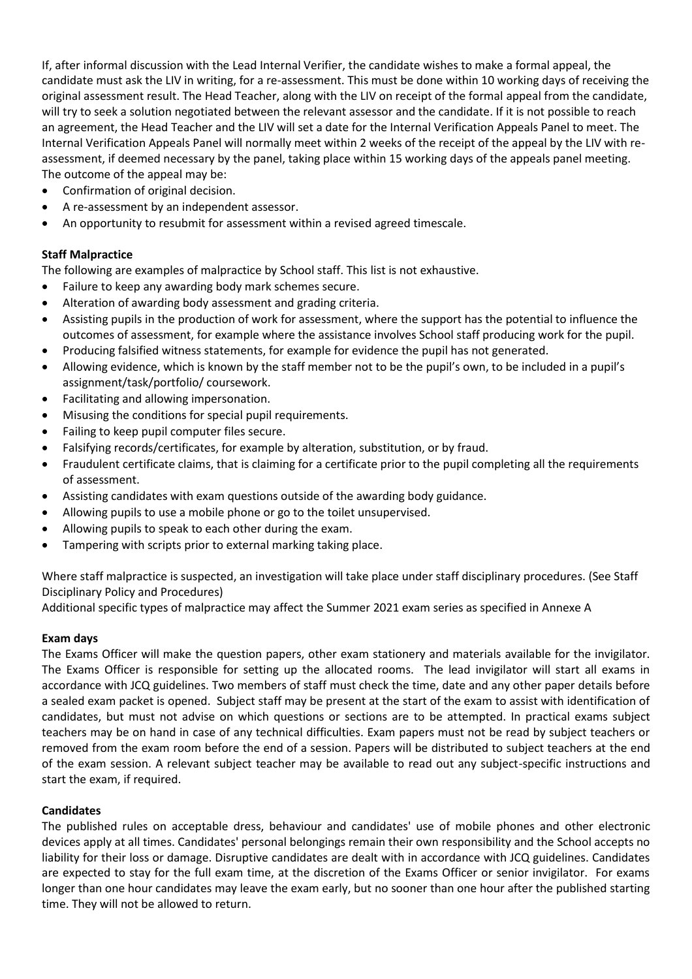If, after informal discussion with the Lead Internal Verifier, the candidate wishes to make a formal appeal, the candidate must ask the LIV in writing, for a re-assessment. This must be done within 10 working days of receiving the original assessment result. The Head Teacher, along with the LIV on receipt of the formal appeal from the candidate, will try to seek a solution negotiated between the relevant assessor and the candidate. If it is not possible to reach an agreement, the Head Teacher and the LIV will set a date for the Internal Verification Appeals Panel to meet. The Internal Verification Appeals Panel will normally meet within 2 weeks of the receipt of the appeal by the LIV with reassessment, if deemed necessary by the panel, taking place within 15 working days of the appeals panel meeting. The outcome of the appeal may be:

- Confirmation of original decision.
- A re-assessment by an independent assessor.
- An opportunity to resubmit for assessment within a revised agreed timescale.

## **Staff Malpractice**

The following are examples of malpractice by School staff. This list is not exhaustive.

- Failure to keep any awarding body mark schemes secure.
- Alteration of awarding body assessment and grading criteria.
- Assisting pupils in the production of work for assessment, where the support has the potential to influence the outcomes of assessment, for example where the assistance involves School staff producing work for the pupil.
- Producing falsified witness statements, for example for evidence the pupil has not generated.
- Allowing evidence, which is known by the staff member not to be the pupil's own, to be included in a pupil's assignment/task/portfolio/ coursework.
- Facilitating and allowing impersonation.
- Misusing the conditions for special pupil requirements.
- Failing to keep pupil computer files secure.
- Falsifying records/certificates, for example by alteration, substitution, or by fraud.
- Fraudulent certificate claims, that is claiming for a certificate prior to the pupil completing all the requirements of assessment.
- Assisting candidates with exam questions outside of the awarding body guidance.
- Allowing pupils to use a mobile phone or go to the toilet unsupervised.
- Allowing pupils to speak to each other during the exam.
- Tampering with scripts prior to external marking taking place.

Where staff malpractice is suspected, an investigation will take place under staff disciplinary procedures. (See Staff Disciplinary Policy and Procedures)

Additional specific types of malpractice may affect the Summer 2021 exam series as specified in Annexe A

## **Exam days**

The Exams Officer will make the question papers, other exam stationery and materials available for the invigilator. The Exams Officer is responsible for setting up the allocated rooms. The lead invigilator will start all exams in accordance with JCQ guidelines. Two members of staff must check the time, date and any other paper details before a sealed exam packet is opened. Subject staff may be present at the start of the exam to assist with identification of candidates, but must not advise on which questions or sections are to be attempted. In practical exams subject teachers may be on hand in case of any technical difficulties. Exam papers must not be read by subject teachers or removed from the exam room before the end of a session. Papers will be distributed to subject teachers at the end of the exam session. A relevant subject teacher may be available to read out any subject-specific instructions and start the exam, if required.

## **Candidates**

The published rules on acceptable dress, behaviour and candidates' use of mobile phones and other electronic devices apply at all times. Candidates' personal belongings remain their own responsibility and the School accepts no liability for their loss or damage. Disruptive candidates are dealt with in accordance with JCQ guidelines. Candidates are expected to stay for the full exam time, at the discretion of the Exams Officer or senior invigilator. For exams longer than one hour candidates may leave the exam early, but no sooner than one hour after the published starting time. They will not be allowed to return.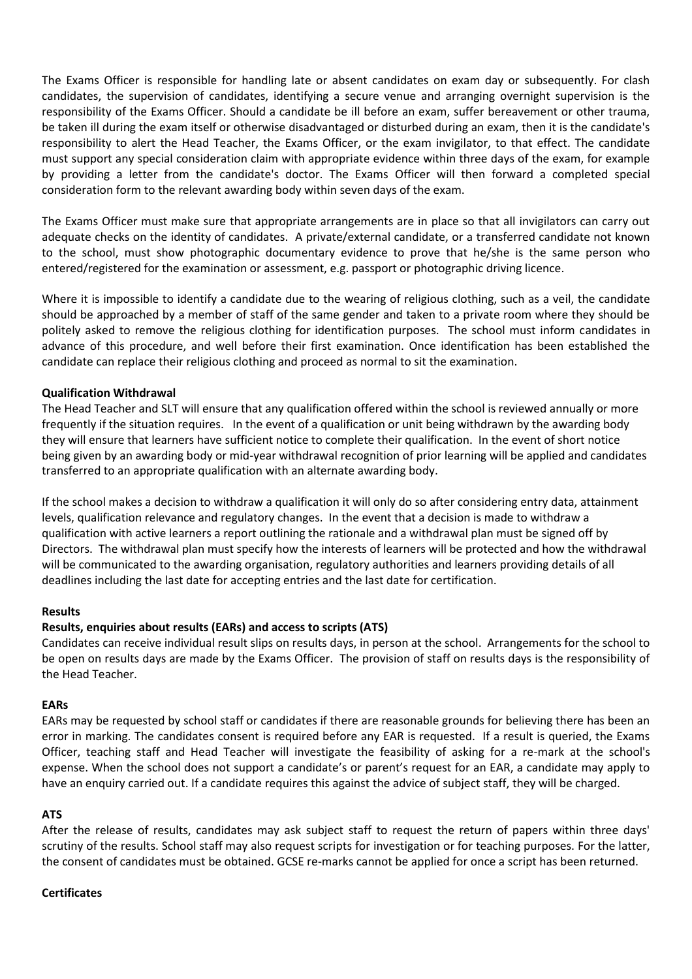The Exams Officer is responsible for handling late or absent candidates on exam day or subsequently. For clash candidates, the supervision of candidates, identifying a secure venue and arranging overnight supervision is the responsibility of the Exams Officer. Should a candidate be ill before an exam, suffer bereavement or other trauma, be taken ill during the exam itself or otherwise disadvantaged or disturbed during an exam, then it is the candidate's responsibility to alert the Head Teacher, the Exams Officer, or the exam invigilator, to that effect. The candidate must support any special consideration claim with appropriate evidence within three days of the exam, for example by providing a letter from the candidate's doctor. The Exams Officer will then forward a completed special consideration form to the relevant awarding body within seven days of the exam.

The Exams Officer must make sure that appropriate arrangements are in place so that all invigilators can carry out adequate checks on the identity of candidates. A private/external candidate, or a transferred candidate not known to the school, must show photographic documentary evidence to prove that he/she is the same person who entered/registered for the examination or assessment, e.g. passport or photographic driving licence.

Where it is impossible to identify a candidate due to the wearing of religious clothing, such as a veil, the candidate should be approached by a member of staff of the same gender and taken to a private room where they should be politely asked to remove the religious clothing for identification purposes. The school must inform candidates in advance of this procedure, and well before their first examination. Once identification has been established the candidate can replace their religious clothing and proceed as normal to sit the examination.

## **Qualification Withdrawal**

The Head Teacher and SLT will ensure that any qualification offered within the school is reviewed annually or more frequently if the situation requires. In the event of a qualification or unit being withdrawn by the awarding body they will ensure that learners have sufficient notice to complete their qualification. In the event of short notice being given by an awarding body or mid-year withdrawal recognition of prior learning will be applied and candidates transferred to an appropriate qualification with an alternate awarding body.

If the school makes a decision to withdraw a qualification it will only do so after considering entry data, attainment levels, qualification relevance and regulatory changes. In the event that a decision is made to withdraw a qualification with active learners a report outlining the rationale and a withdrawal plan must be signed off by Directors. The withdrawal plan must specify how the interests of learners will be protected and how the withdrawal will be communicated to the awarding organisation, regulatory authorities and learners providing details of all deadlines including the last date for accepting entries and the last date for certification.

## **Results**

## **Results, enquiries about results (EARs) and access to scripts (ATS)**

Candidates can receive individual result slips on results days, in person at the school. Arrangements for the school to be open on results days are made by the Exams Officer. The provision of staff on results days is the responsibility of the Head Teacher.

#### **EARs**

EARs may be requested by school staff or candidates if there are reasonable grounds for believing there has been an error in marking. The candidates consent is required before any EAR is requested. If a result is queried, the Exams Officer, teaching staff and Head Teacher will investigate the feasibility of asking for a re-mark at the school's expense. When the school does not support a candidate's or parent's request for an EAR, a candidate may apply to have an enquiry carried out. If a candidate requires this against the advice of subject staff, they will be charged.

## **ATS**

After the release of results, candidates may ask subject staff to request the return of papers within three days' scrutiny of the results. School staff may also request scripts for investigation or for teaching purposes. For the latter, the consent of candidates must be obtained. GCSE re-marks cannot be applied for once a script has been returned.

#### **Certificates**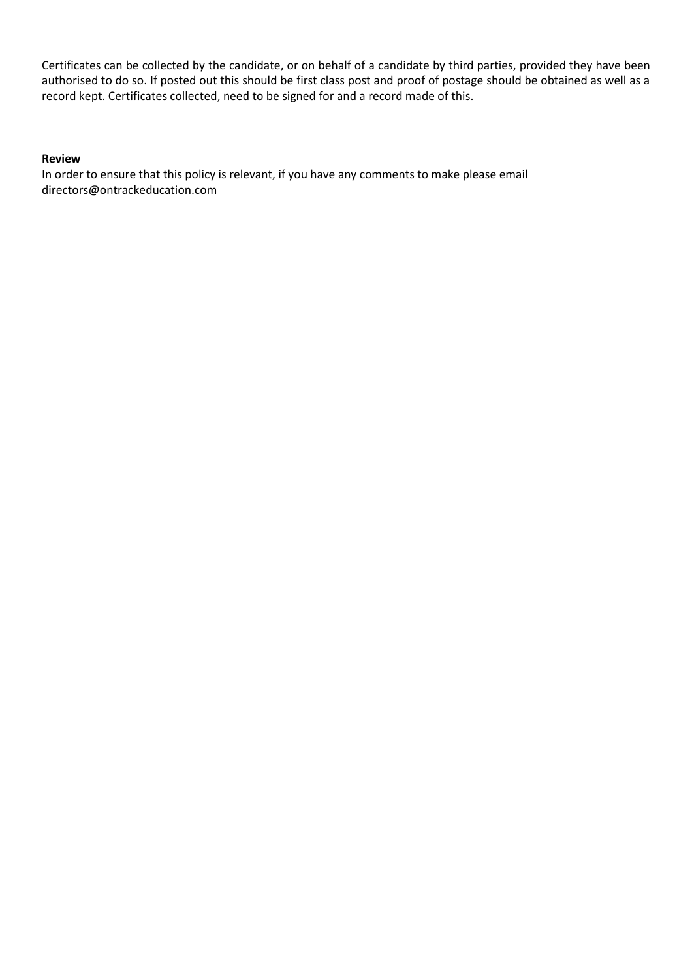Certificates can be collected by the candidate, or on behalf of a candidate by third parties, provided they have been authorised to do so. If posted out this should be first class post and proof of postage should be obtained as well as a record kept. Certificates collected, need to be signed for and a record made of this.

## **Review**

In order to ensure that this policy is relevant, if you have any comments to make please email directors@ontrackeducation.com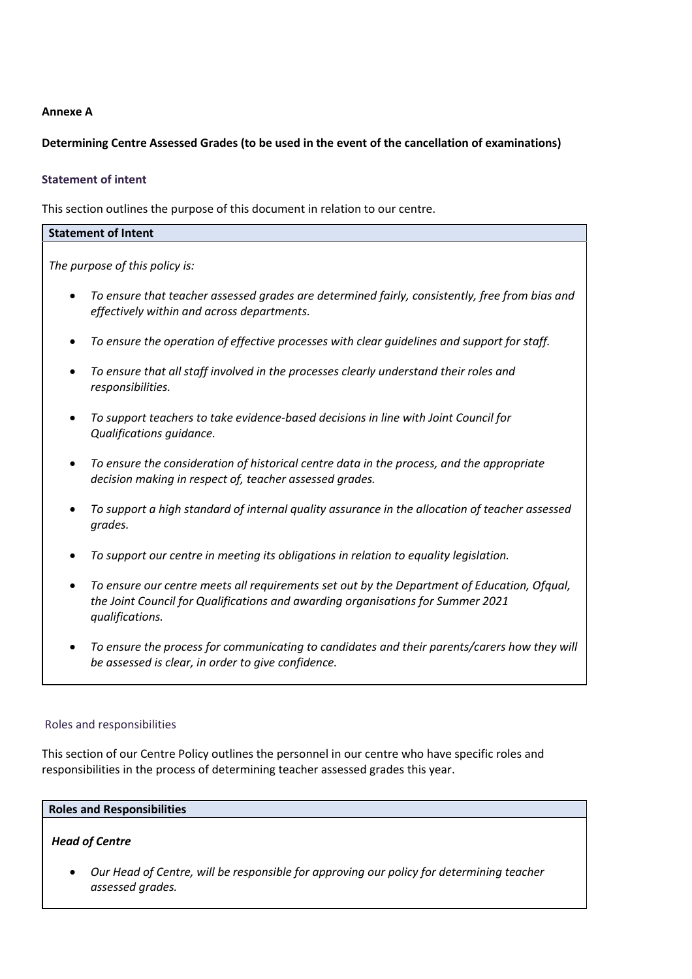## **Annexe A**

## **Determining Centre Assessed Grades (to be used in the event of the cancellation of examinations)**

## **Statement of intent**

This section outlines the purpose of this document in relation to our centre.

| <b>Statement of Intent</b>                                                                                                                                                                        |  |  |
|---------------------------------------------------------------------------------------------------------------------------------------------------------------------------------------------------|--|--|
| The purpose of this policy is:                                                                                                                                                                    |  |  |
| To ensure that teacher assessed grades are determined fairly, consistently, free from bias and<br>effectively within and across departments.                                                      |  |  |
| To ensure the operation of effective processes with clear guidelines and support for staff.                                                                                                       |  |  |
| To ensure that all staff involved in the processes clearly understand their roles and<br>responsibilities.                                                                                        |  |  |
| To support teachers to take evidence-based decisions in line with Joint Council for<br>Qualifications guidance.                                                                                   |  |  |
| To ensure the consideration of historical centre data in the process, and the appropriate<br>decision making in respect of, teacher assessed grades.                                              |  |  |
| To support a high standard of internal quality assurance in the allocation of teacher assessed<br>grades.                                                                                         |  |  |
| To support our centre in meeting its obligations in relation to equality legislation.                                                                                                             |  |  |
| To ensure our centre meets all requirements set out by the Department of Education, Ofqual,<br>the Joint Council for Qualifications and awarding organisations for Summer 2021<br>qualifications. |  |  |
| To ensure the process for communicating to candidates and their parents/carers how they will                                                                                                      |  |  |

 *To ensure the process for communicating to candidates and their parents/carers how they will be assessed is clear, in order to give confidence.*

## Roles and responsibilities

This section of our Centre Policy outlines the personnel in our centre who have specific roles and responsibilities in the process of determining teacher assessed grades this year.

#### **Roles and Responsibilities**

## *Head of Centre*

 *Our Head of Centre, will be responsible for approving our policy for determining teacher assessed grades.*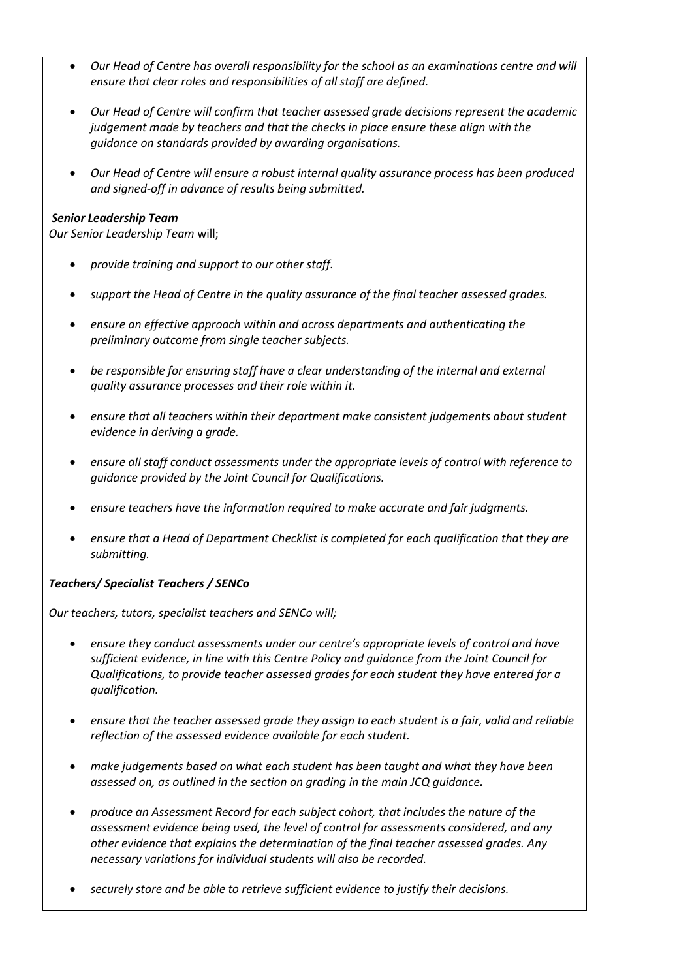- *Our Head of Centre has overall responsibility for the school as an examinations centre and will ensure that clear roles and responsibilities of all staff are defined.*
- *Our Head of Centre will confirm that teacher assessed grade decisions represent the academic judgement made by teachers and that the checks in place ensure these align with the guidance on standards provided by awarding organisations.*
- *Our Head of Centre will ensure a robust internal quality assurance process has been produced and signed-off in advance of results being submitted.*

## *Senior Leadership Team*

*Our Senior Leadership Team* will;

- *provide training and support to our other staff.*
- *support the Head of Centre in the quality assurance of the final teacher assessed grades.*
- *ensure an effective approach within and across departments and authenticating the preliminary outcome from single teacher subjects.*
- *be responsible for ensuring staff have a clear understanding of the internal and external quality assurance processes and their role within it.*
- *ensure that all teachers within their department make consistent judgements about student evidence in deriving a grade.*
- *ensure all staff conduct assessments under the appropriate levels of control with reference to guidance provided by the Joint Council for Qualifications.*
- *ensure teachers have the information required to make accurate and fair judgments.*
- *ensure that a Head of Department Checklist is completed for each qualification that they are submitting.*

# *Teachers/ Specialist Teachers / SENCo*

*Our teachers, tutors, specialist teachers and SENCo will;*

- **e** ensure they conduct assessments under our centre's appropriate levels of control and have *sufficient evidence, in line with this Centre Policy and guidance from the Joint Council for Qualifications, to provide teacher assessed grades for each student they have entered for a qualification.*
- *ensure that the teacher assessed grade they assign to each student is a fair, valid and reliable reflection of the assessed evidence available for each student.*
- *make judgements based on what each student has been taught and what they have been assessed on, as outlined in the section on grading in the main JCQ guidance.*
- *produce an Assessment Record for each subject cohort, that includes the nature of the assessment evidence being used, the level of control for assessments considered, and any other evidence that explains the determination of the final teacher assessed grades. Any necessary variations for individual students will also be recorded.*
- *securely store and be able to retrieve sufficient evidence to justify their decisions.*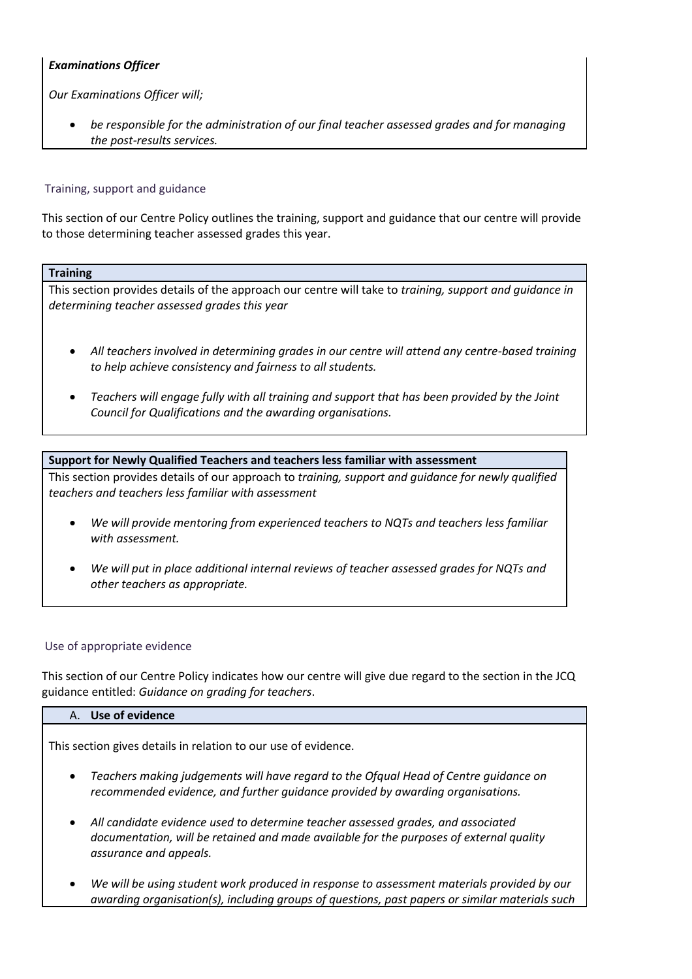# *Examinations Officer*

*Our Examinations Officer will;*

 *be responsible for the administration of our final teacher assessed grades and for managing the post-results services.*

#### Training, support and guidance

This section of our Centre Policy outlines the training, support and guidance that our centre will provide to those determining teacher assessed grades this year.

#### **Training**

This section provides details of the approach our centre will take to *training, support and guidance in determining teacher assessed grades this year*

- *All teachers involved in determining grades in our centre will attend any centre-based training to help achieve consistency and fairness to all students.*
- *Teachers will engage fully with all training and support that has been provided by the Joint Council for Qualifications and the awarding organisations.*

## **Support for Newly Qualified Teachers and teachers less familiar with assessment**

This section provides details of our approach to *training, support and guidance for newly qualified teachers and teachers less familiar with assessment*

- *We will provide mentoring from experienced teachers to NQTs and teachers less familiar with assessment.*
- *We will put in place additional internal reviews of teacher assessed grades for NQTs and other teachers as appropriate.*

## Use of appropriate evidence

This section of our Centre Policy indicates how our centre will give due regard to the section in the JCQ guidance entitled: *Guidance on grading for teachers*.

#### A. **Use of evidence**

This section gives details in relation to our use of evidence.

- *Teachers making judgements will have regard to the Ofqual Head of Centre guidance on recommended evidence, and further guidance provided by awarding organisations.*
- *All candidate evidence used to determine teacher assessed grades, and associated documentation, will be retained and made available for the purposes of external quality assurance and appeals.*
- *We will be using student work produced in response to assessment materials provided by our awarding organisation(s), including groups of questions, past papers or similar materials such*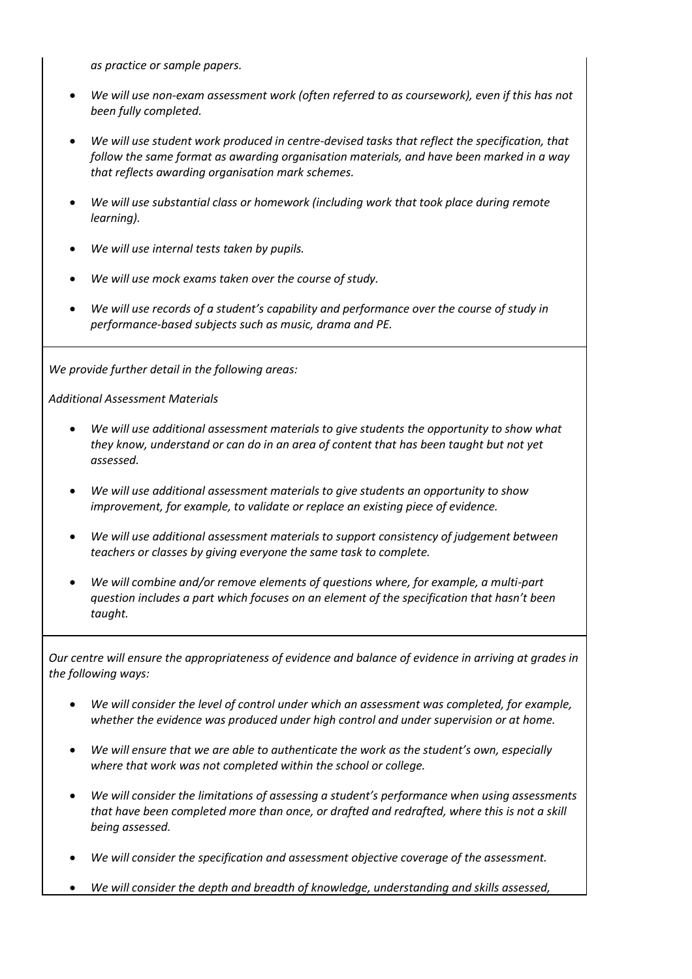*as practice or sample papers.*

- *We will use non-exam assessment work (often referred to as coursework), even if this has not been fully completed.*
- *We will use student work produced in centre-devised tasks that reflect the specification, that follow the same format as awarding organisation materials, and have been marked in a way that reflects awarding organisation mark schemes.*
- *We will use substantial class or homework (including work that took place during remote learning).*
- *We will use internal tests taken by pupils.*
- *We will use mock exams taken over the course of study.*
- *We will use records of a student's capability and performance over the course of study in performance-based subjects such as music, drama and PE.*

*We provide further detail in the following areas:*

*Additional Assessment Materials*

- *We will use additional assessment materials to give students the opportunity to show what they know, understand or can do in an area of content that has been taught but not yet assessed.*
- *We will use additional assessment materials to give students an opportunity to show improvement, for example, to validate or replace an existing piece of evidence.*
- *We will use additional assessment materials to support consistency of judgement between teachers or classes by giving everyone the same task to complete.*
- *We will combine and/or remove elements of questions where, for example, a multi-part question includes a part which focuses on an element of the specification that hasn't been taught.*

*Our centre will ensure the appropriateness of evidence and balance of evidence in arriving at grades in the following ways:*

- *We will consider the level of control under which an assessment was completed, for example, whether the evidence was produced under high control and under supervision or at home.*
- *We will ensure that we are able to authenticate the work as the student's own, especially where that work was not completed within the school or college.*
- *We will consider the limitations of assessing a student's performance when using assessments that have been completed more than once, or drafted and redrafted, where this is not a skill being assessed.*
- *We will consider the specification and assessment objective coverage of the assessment.*
- *We will consider the depth and breadth of knowledge, understanding and skills assessed,*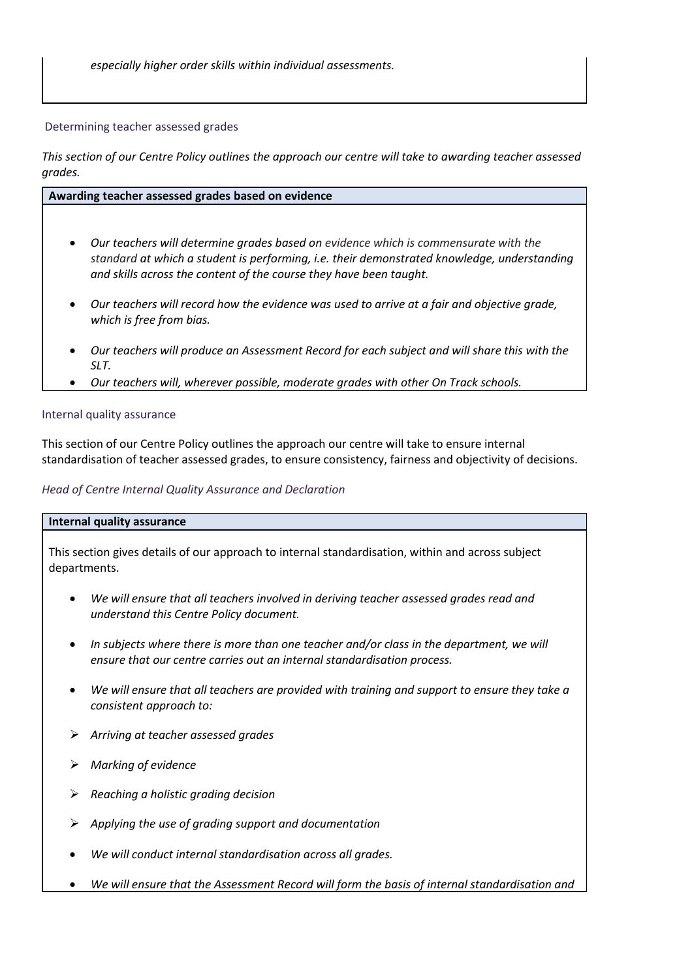*especially higher order skills within individual assessments.*

#### Determining teacher assessed grades

*This section of our Centre Policy outlines the approach our centre will take to awarding teacher assessed grades.*

#### **Awarding teacher assessed grades based on evidence**

- *Our teachers will determine grades based on evidence which is commensurate with the standard at which a student is performing, i.e. their demonstrated knowledge, understanding and skills across the content of the course they have been taught.*
- *Our teachers will record how the evidence was used to arrive at a fair and objective grade, which is free from bias.*
- *Our teachers will produce an Assessment Record for each subject and will share this with the SLT.*
- *Our teachers will, wherever possible, moderate grades with other On Track schools.*

## Internal quality assurance

This section of our Centre Policy outlines the approach our centre will take to ensure internal standardisation of teacher assessed grades, to ensure consistency, fairness and objectivity of decisions.

#### *Head of Centre Internal Quality Assurance and Declaration*

#### **Internal quality assurance**

This section gives details of our approach to internal standardisation, within and across subject departments.

- *We will ensure that all teachers involved in deriving teacher assessed grades read and understand this Centre Policy document.*
- *In subjects where there is more than one teacher and/or class in the department, we will ensure that our centre carries out an internal standardisation process.*
- *We will ensure that all teachers are provided with training and support to ensure they take a consistent approach to:*
- *Arriving at teacher assessed grades*
- *Marking of evidence*
- *Reaching a holistic grading decision*
- *Applying the use of grading support and documentation*
- *We will conduct internal standardisation across all grades.*
- *We will ensure that the Assessment Record will form the basis of internal standardisation and*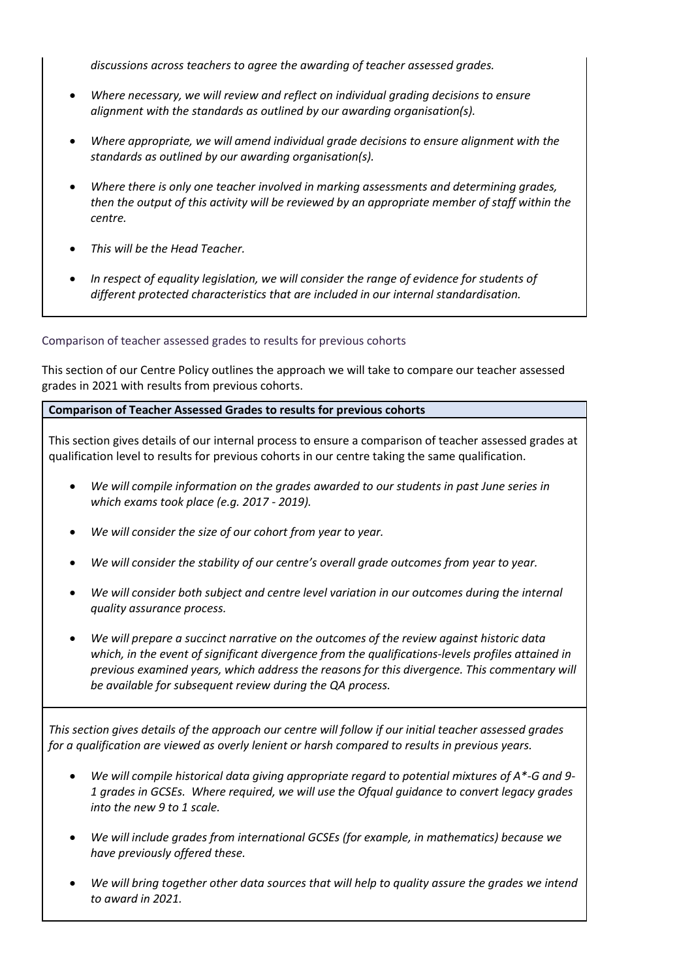*discussions across teachers to agree the awarding of teacher assessed grades.*

- *Where necessary, we will review and reflect on individual grading decisions to ensure alignment with the standards as outlined by our awarding organisation(s).*
- *Where appropriate, we will amend individual grade decisions to ensure alignment with the standards as outlined by our awarding organisation(s).*
- *Where there is only one teacher involved in marking assessments and determining grades, then the output of this activity will be reviewed by an appropriate member of staff within the centre.*
- *This will be the Head Teacher.*
- *In respect of equality legislation, we will consider the range of evidence for students of different protected characteristics that are included in our internal standardisation.*

Comparison of teacher assessed grades to results for previous cohorts

This section of our Centre Policy outlines the approach we will take to compare our teacher assessed grades in 2021 with results from previous cohorts.

## **Comparison of Teacher Assessed Grades to results for previous cohorts**

This section gives details of our internal process to ensure a comparison of teacher assessed grades at qualification level to results for previous cohorts in our centre taking the same qualification.

- *We will compile information on the grades awarded to our students in past June series in which exams took place (e.g. 2017 - 2019).*
- *We will consider the size of our cohort from year to year.*
- *We will consider the stability of our centre's overall grade outcomes from year to year.*
- *We will consider both subject and centre level variation in our outcomes during the internal quality assurance process.*
- *We will prepare a succinct narrative on the outcomes of the review against historic data which, in the event of significant divergence from the qualifications-levels profiles attained in previous examined years, which address the reasons for this divergence. This commentary will be available for subsequent review during the QA process.*

*This section gives details of the approach our centre will follow if our initial teacher assessed grades for a qualification are viewed as overly lenient or harsh compared to results in previous years.*

- *We will compile historical data giving appropriate regard to potential mixtures of A\*-G and 9- 1 grades in GCSEs. Where required, we will use the Ofqual guidance to convert legacy grades into the new 9 to 1 scale.*
- *We will include grades from international GCSEs (for example, in mathematics) because we have previously offered these.*
- *We will bring together other data sources that will help to quality assure the grades we intend to award in 2021.*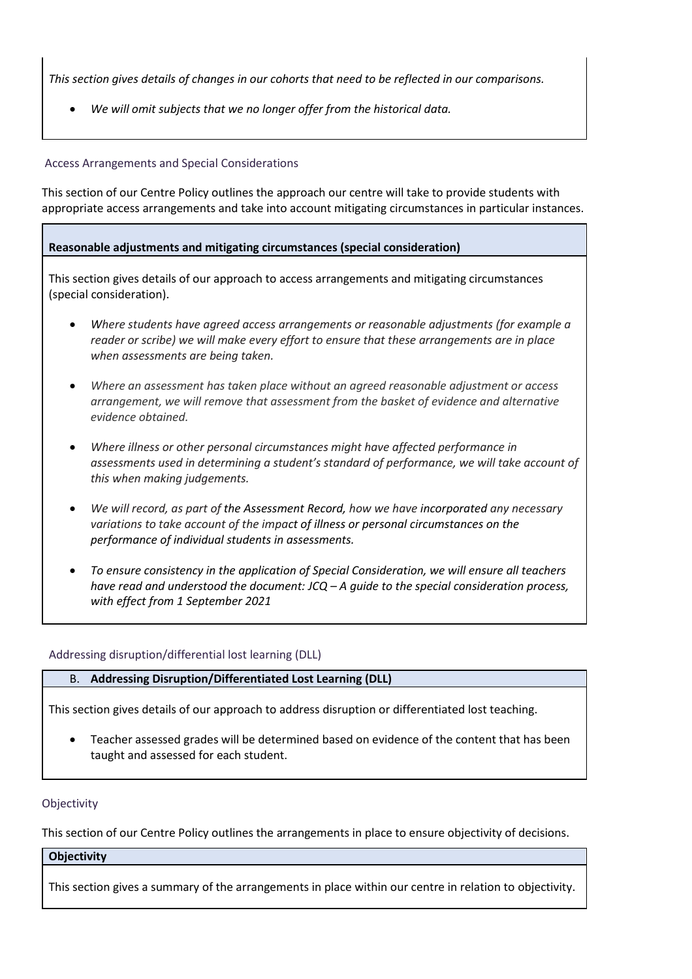*This section gives details of changes in our cohorts that need to be reflected in our comparisons.* 

*We will omit subjects that we no longer offer from the historical data.*

Access Arrangements and Special Considerations

This section of our Centre Policy outlines the approach our centre will take to provide students with appropriate access arrangements and take into account mitigating circumstances in particular instances.

# **Reasonable adjustments and mitigating circumstances (special consideration)**

This section gives details of our approach to access arrangements and mitigating circumstances (special consideration).

- *Where students have agreed access arrangements or reasonable adjustments (for example a reader or scribe) we will make every effort to ensure that these arrangements are in place when assessments are being taken.*
- *Where an assessment has taken place without an agreed reasonable adjustment or access arrangement, we will remove that assessment from the basket of evidence and alternative evidence obtained.*
- *Where illness or other personal circumstances might have affected performance in assessments used in determining a student's standard of performance, we will take account of this when making judgements.*
- *We will record, as part of the Assessment Record, how we have incorporated any necessary variations to take account of the impact of illness or personal circumstances on the performance of individual students in assessments.*
- *To ensure consistency in the application of Special Consideration, we will ensure all teachers have read and understood the document: JCQ – A guide to the special consideration process, with effect from 1 September 2021*

## Addressing disruption/differential lost learning (DLL)

# B. **Addressing Disruption/Differentiated Lost Learning (DLL)**

This section gives details of our approach to address disruption or differentiated lost teaching.

 Teacher assessed grades will be determined based on evidence of the content that has been taught and assessed for each student.

## **Objectivity**

This section of our Centre Policy outlines the arrangements in place to ensure objectivity of decisions.

## **Objectivity**

This section gives a summary of the arrangements in place within our centre in relation to objectivity.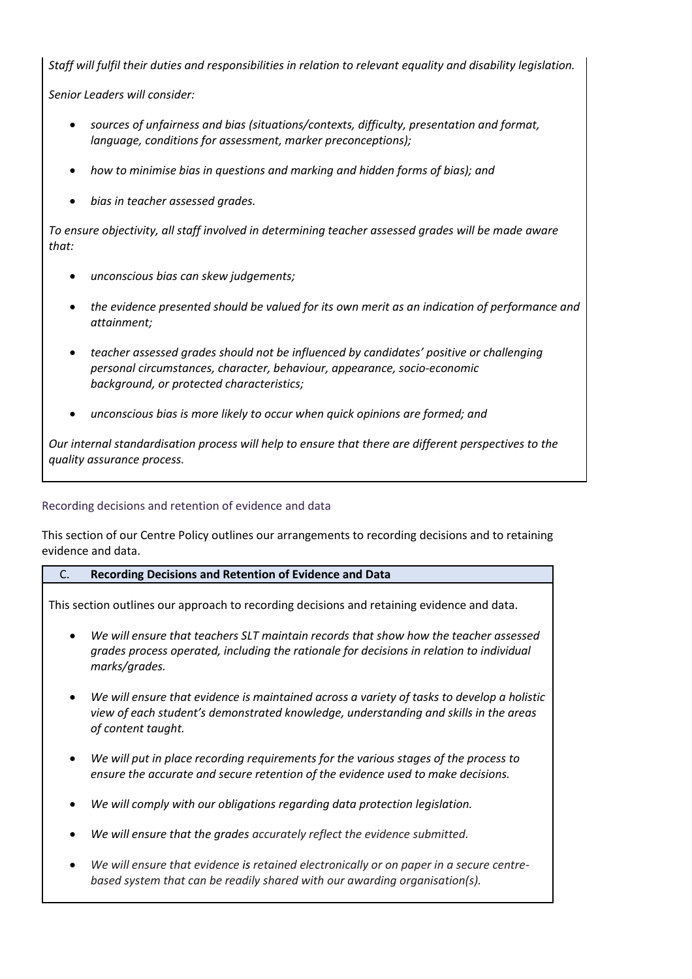*Staff will fulfil their duties and responsibilities in relation to relevant equality and disability legislation.*

*Senior Leaders will consider:*

- *sources of unfairness and bias (situations/contexts, difficulty, presentation and format, language, conditions for assessment, marker preconceptions);*
- *how to minimise bias in questions and marking and hidden forms of bias); and*
- *bias in teacher assessed grades.*

*To ensure objectivity, all staff involved in determining teacher assessed grades will be made aware that:*

- *unconscious bias can skew judgements;*
- *the evidence presented should be valued for its own merit as an indication of performance and attainment;*
- *teacher assessed grades should not be influenced by candidates' positive or challenging personal circumstances, character, behaviour, appearance, socio-economic background, or protected characteristics;*
- *unconscious bias is more likely to occur when quick opinions are formed; and*

*Our internal standardisation process will help to ensure that there are different perspectives to the quality assurance process.* 

Recording decisions and retention of evidence and data

This section of our Centre Policy outlines our arrangements to recording decisions and to retaining evidence and data.

# C. **Recording Decisions and Retention of Evidence and Data**

This section outlines our approach to recording decisions and retaining evidence and data.

- *We will ensure that teachers SLT maintain records that show how the teacher assessed grades process operated, including the rationale for decisions in relation to individual marks/grades.*
- *We will ensure that evidence is maintained across a variety of tasks to develop a holistic view of each student's demonstrated knowledge, understanding and skills in the areas of content taught.*
- *We will put in place recording requirements for the various stages of the process to ensure the accurate and secure retention of the evidence used to make decisions.*
- *We will comply with our obligations regarding data protection legislation.*
- *We will ensure that the grades accurately reflect the evidence submitted.*
- *We will ensure that evidence is retained electronically or on paper in a secure centrebased system that can be readily shared with our awarding organisation(s).*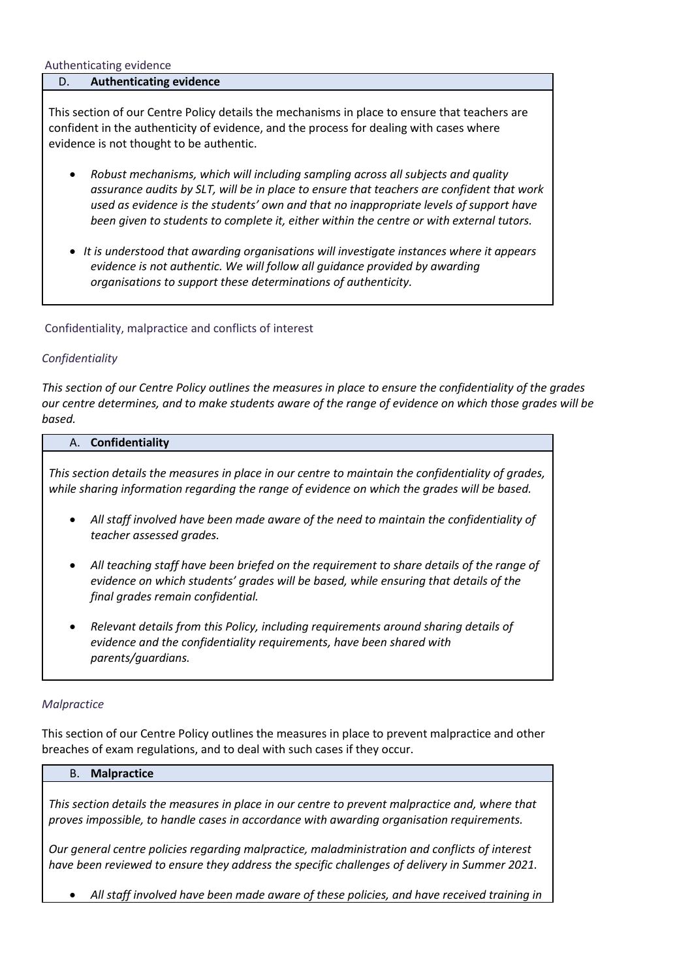#### Authenticating evidence

## D. **Authenticating evidence**

This section of our Centre Policy details the mechanisms in place to ensure that teachers are confident in the authenticity of evidence, and the process for dealing with cases where evidence is not thought to be authentic.

- *Robust mechanisms, which will including sampling across all subjects and quality assurance audits by SLT, will be in place to ensure that teachers are confident that work used as evidence is the students' own and that no inappropriate levels of support have been given to students to complete it, either within the centre or with external tutors.*
- *It is understood that awarding organisations will investigate instances where it appears evidence is not authentic. We will follow all guidance provided by awarding organisations to support these determinations of authenticity.*

Confidentiality, malpractice and conflicts of interest

## *Confidentiality*

*This section of our Centre Policy outlines the measures in place to ensure the confidentiality of the grades our centre determines, and to make students aware of the range of evidence on which those grades will be based.*

#### A. **Confidentiality**

*This section details the measures in place in our centre to maintain the confidentiality of grades, while sharing information regarding the range of evidence on which the grades will be based.* 

- *All staff involved have been made aware of the need to maintain the confidentiality of teacher assessed grades.*
- *All teaching staff have been briefed on the requirement to share details of the range of evidence on which students' grades will be based, while ensuring that details of the final grades remain confidential.*
- *Relevant details from this Policy, including requirements around sharing details of evidence and the confidentiality requirements, have been shared with parents/guardians.*

## *Malpractice*

This section of our Centre Policy outlines the measures in place to prevent malpractice and other breaches of exam regulations, and to deal with such cases if they occur.

#### B. **Malpractice**

*This section details the measures in place in our centre to prevent malpractice and, where that proves impossible, to handle cases in accordance with awarding organisation requirements.*

*Our general centre policies regarding malpractice, maladministration and conflicts of interest have been reviewed to ensure they address the specific challenges of delivery in Summer 2021.*

*All staff involved have been made aware of these policies, and have received training in*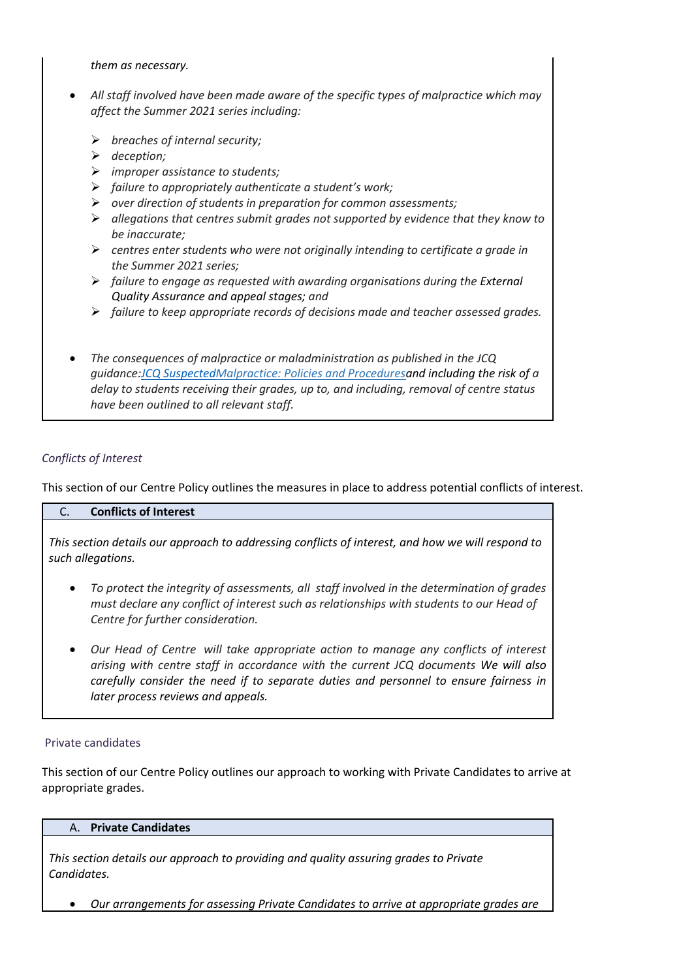#### *them as necessary.*

- *All staff involved have been made aware of the specific types of malpractice which may affect the Summer 2021 series including:*
	- *breaches of internal security;*
	- *deception;*
	- *improper assistance to students;*
	- *failure to appropriately authenticate a student's work;*
	- *over direction of students in preparation for common assessments;*
	- *allegations that centres submit grades not supported by evidence that they know to be inaccurate;*
	- *centres enter students who were not originally intending to certificate a grade in the Summer 2021 series;*
	- *failure to engage as requested with awarding organisations during the External Quality Assurance and appeal stages; and*
	- *failure to keep appropriate records of decisions made and teacher assessed grades.*
- *The consequences of malpractice or maladministration as published in the JCQ guidance[:JCQ SuspectedM](https://www.jcq.org.uk/exams-office/malpractice/jcq-suspected-malpractice-policies-and-procedures-2019-2020)alpractice: Policies and Proceduresand including the risk of a delay to students receiving their grades, up to, and including, removal of centre status have been outlined to all relevant staff.*

## *Conflicts of Interest*

This section of our Centre Policy outlines the measures in place to address potential conflicts of interest.

## C. **Conflicts of Interest**

*This section details our approach to addressing conflicts of interest, and how we will respond to such allegations.* 

- *To protect the integrity of assessments, all staff involved in the determination of grades must declare any conflict of interest such as relationships with students to our Head of Centre for further consideration.*
- *Our Head of Centre will take appropriate action to manage any conflicts of interest arising with centre staff in accordance with the current JCQ documents We will also carefully consider the need if to separate duties and personnel to ensure fairness in later process reviews and appeals.*

## Private candidates

This section of our Centre Policy outlines our approach to working with Private Candidates to arrive at appropriate grades.

#### A. **Private Candidates**

*This section details our approach to providing and quality assuring grades to Private Candidates.* 

*Our arrangements for assessing Private Candidates to arrive at appropriate grades are*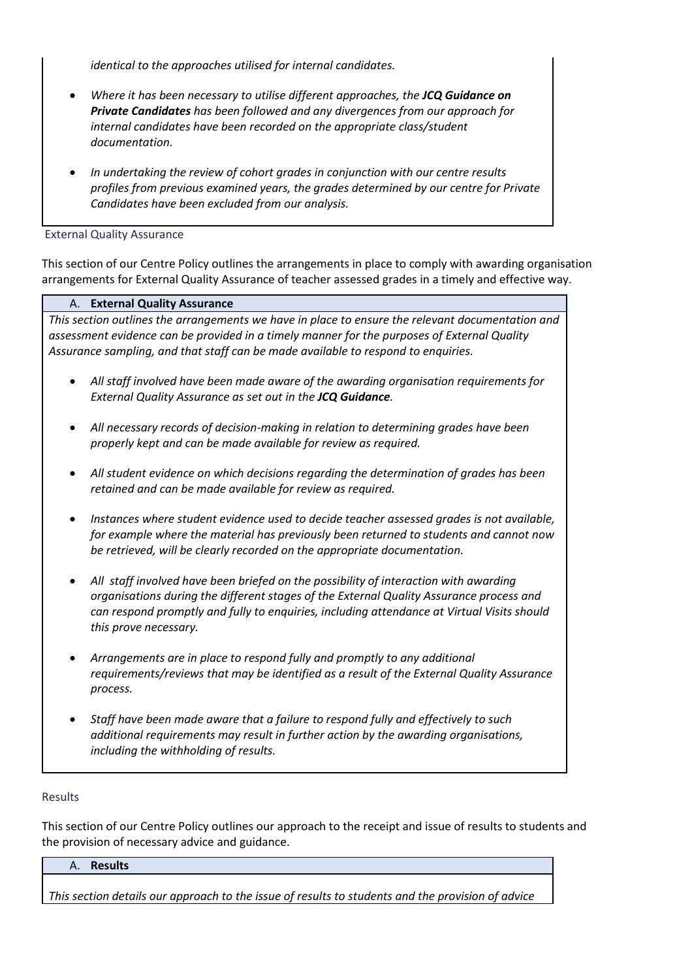*identical to the approaches utilised for internal candidates.*

- *Where it has been necessary to utilise different approaches, the JCQ Guidance on Private Candidates has been followed and any divergences from our approach for internal candidates have been recorded on the appropriate class/student documentation.*
- *In undertaking the review of cohort grades in conjunction with our centre results profiles from previous examined years, the grades determined by our centre for Private Candidates have been excluded from our analysis.*

External Quality Assurance

This section of our Centre Policy outlines the arrangements in place to comply with awarding organisation arrangements for External Quality Assurance of teacher assessed grades in a timely and effective way.

## A. **External Quality Assurance**

*This section outlines the arrangements we have in place to ensure the relevant documentation and assessment evidence can be provided in a timely manner for the purposes of External Quality Assurance sampling, and that staff can be made available to respond to enquiries.* 

- *All staff involved have been made aware of the awarding organisation requirements for External Quality Assurance as set out in the JCQ Guidance.*
- *All necessary records of decision-making in relation to determining grades have been properly kept and can be made available for review as required.*
- *All student evidence on which decisions regarding the determination of grades has been retained and can be made available for review as required.*
- *Instances where student evidence used to decide teacher assessed grades is not available, for example where the material has previously been returned to students and cannot now be retrieved, will be clearly recorded on the appropriate documentation.*
- *All staff involved have been briefed on the possibility of interaction with awarding organisations during the different stages of the External Quality Assurance process and can respond promptly and fully to enquiries, including attendance at Virtual Visits should this prove necessary.*
- *Arrangements are in place to respond fully and promptly to any additional requirements/reviews that may be identified as a result of the External Quality Assurance process.*
- *Staff have been made aware that a failure to respond fully and effectively to such additional requirements may result in further action by the awarding organisations, including the withholding of results.*

## Results

This section of our Centre Policy outlines our approach to the receipt and issue of results to students and the provision of necessary advice and guidance.

#### A. **Results**

*This section details our approach to the issue of results to students and the provision of advice*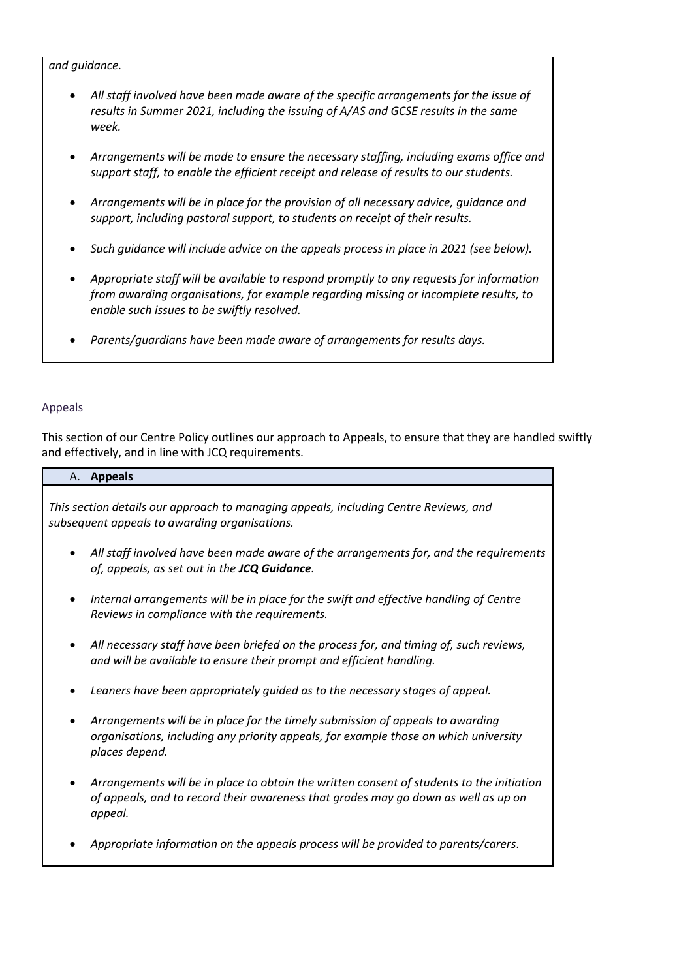# *and guidance.*

- *All staff involved have been made aware of the specific arrangements for the issue of results in Summer 2021, including the issuing of A/AS and GCSE results in the same week.*
- *Arrangements will be made to ensure the necessary staffing, including exams office and support staff, to enable the efficient receipt and release of results to our students.*
- *Arrangements will be in place for the provision of all necessary advice, guidance and support, including pastoral support, to students on receipt of their results.*
- *Such guidance will include advice on the appeals process in place in 2021 (see below).*
- *Appropriate staff will be available to respond promptly to any requests for information from awarding organisations, for example regarding missing or incomplete results, to enable such issues to be swiftly resolved.*
- *Parents/guardians have been made aware of arrangements for results days.*

## Appeals

This section of our Centre Policy outlines our approach to Appeals, to ensure that they are handled swiftly and effectively, and in line with JCQ requirements.

#### A. **Appeals**

*This section details our approach to managing appeals, including Centre Reviews, and subsequent appeals to awarding organisations.* 

- *All staff involved have been made aware of the arrangements for, and the requirements of, appeals, as set out in the JCQ Guidance.*
- *Internal arrangements will be in place for the swift and effective handling of Centre Reviews in compliance with the requirements.*
- *All necessary staff have been briefed on the process for, and timing of, such reviews, and will be available to ensure their prompt and efficient handling.*
- *Leaners have been appropriately guided as to the necessary stages of appeal.*
- *Arrangements will be in place for the timely submission of appeals to awarding organisations, including any priority appeals, for example those on which university places depend.*
- *Arrangements will be in place to obtain the written consent of students to the initiation of appeals, and to record their awareness that grades may go down as well as up on appeal.*
- *Appropriate information on the appeals process will be provided to parents/carers*.